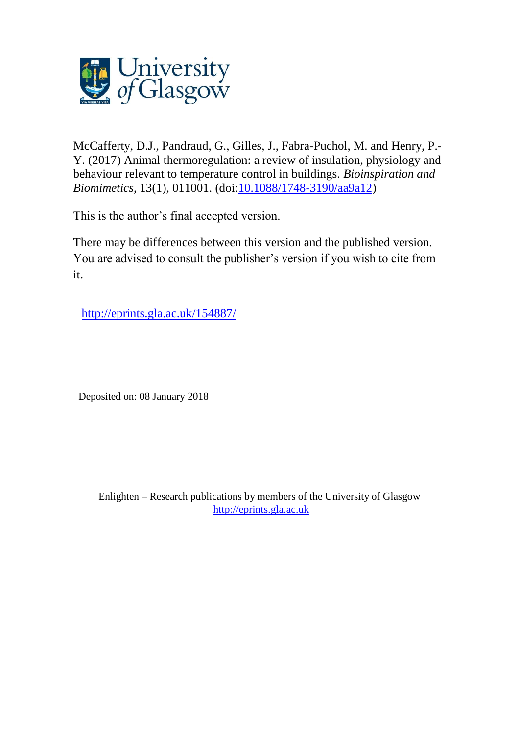

McCafferty, D.J., Pandraud, G., Gilles, J., Fabra-Puchol, M. and Henry, P.- Y. (2017) Animal thermoregulation: a review of insulation, physiology and behaviour relevant to temperature control in buildings. *Bioinspiration and Biomimetics*, 13(1), 011001. (doi[:10.1088/1748-3190/aa9a12\)](http://dx.doi.org/10.1088/1748-3190/aa9a12)

This is the author's final accepted version.

There may be differences between this version and the published version. You are advised to consult the publisher's version if you wish to cite from it.

<http://eprints.gla.ac.uk/154887/>

Deposited on: 08 January 2018

Enlighten – Research publications by members of the University of Glasgow [http://eprints.gla.ac.uk](http://eprints.gla.ac.uk/)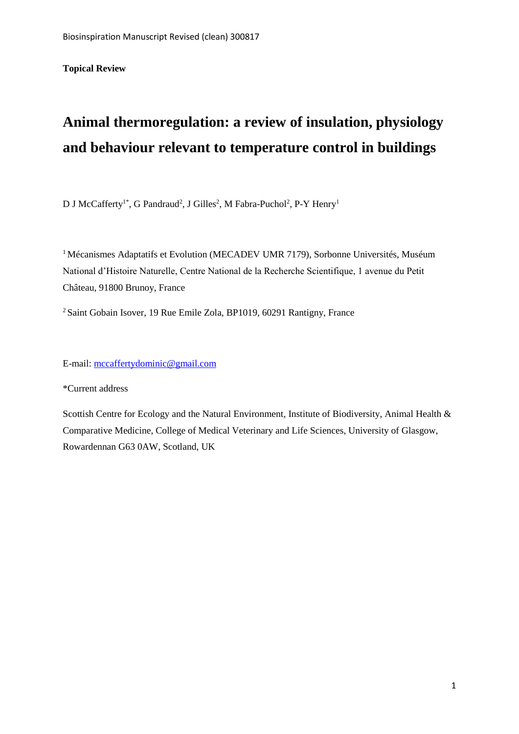**Topical Review**

# **Animal thermoregulation: a review of insulation, physiology and behaviour relevant to temperature control in buildings**

D J McCafferty<sup>1\*</sup>, G Pandraud<sup>2</sup>, J Gilles<sup>2</sup>, M Fabra-Puchol<sup>2</sup>, P-Y Henry<sup>1</sup>

<sup>1</sup> Mécanismes Adaptatifs et Evolution (MECADEV UMR 7179), Sorbonne Universités, Muséum National d'Histoire Naturelle, Centre National de la Recherche Scientifique, 1 avenue du Petit Château, 91800 Brunoy, France

<sup>2</sup> Saint Gobain Isover, 19 Rue Emile Zola, BP1019, 60291 Rantigny, France

E-mail[: mccaffertydominic@gmail.com](mailto:mccaffertydominic@gmail.com)

\*Current address

Scottish Centre for Ecology and the Natural Environment, Institute of Biodiversity, Animal Health & Comparative Medicine, College of Medical Veterinary and Life Sciences, University of Glasgow, Rowardennan G63 0AW, Scotland, UK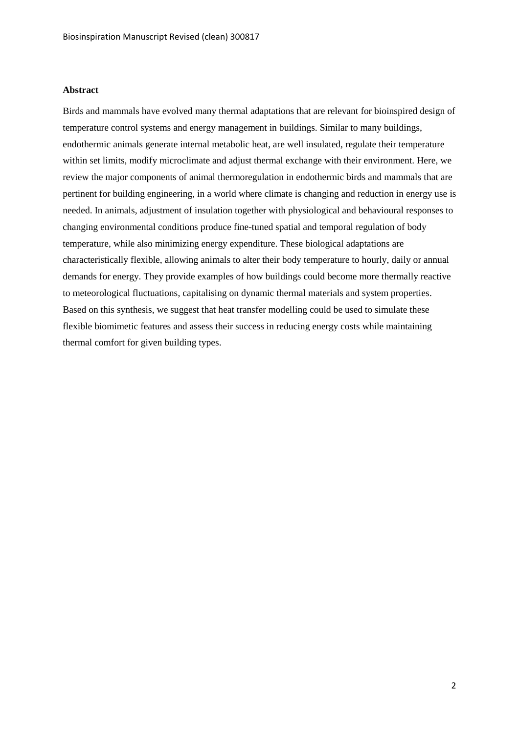#### **Abstract**

Birds and mammals have evolved many thermal adaptations that are relevant for bioinspired design of temperature control systems and energy management in buildings. Similar to many buildings, endothermic animals generate internal metabolic heat, are well insulated, regulate their temperature within set limits, modify microclimate and adjust thermal exchange with their environment. Here, we review the major components of animal thermoregulation in endothermic birds and mammals that are pertinent for building engineering, in a world where climate is changing and reduction in energy use is needed. In animals, adjustment of insulation together with physiological and behavioural responses to changing environmental conditions produce fine-tuned spatial and temporal regulation of body temperature, while also minimizing energy expenditure. These biological adaptations are characteristically flexible, allowing animals to alter their body temperature to hourly, daily or annual demands for energy. They provide examples of how buildings could become more thermally reactive to meteorological fluctuations, capitalising on dynamic thermal materials and system properties. Based on this synthesis, we suggest that heat transfer modelling could be used to simulate these flexible biomimetic features and assess their success in reducing energy costs while maintaining thermal comfort for given building types.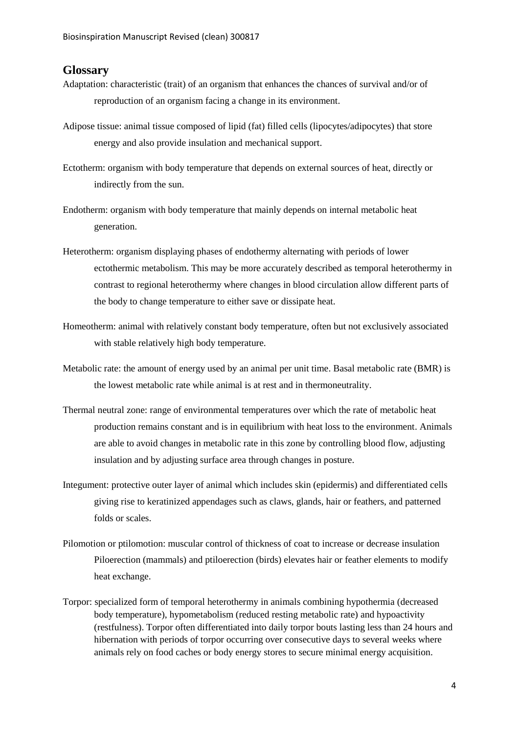## <span id="page-4-0"></span>**Glossary**

- Adaptation: characteristic (trait) of an organism that enhances the chances of survival and/or of reproduction of an organism facing a change in its environment.
- Adipose tissue: animal tissue composed of lipid (fat) filled cells (lipocytes/adipocytes) that store energy and also provide insulation and mechanical support.
- Ectotherm: organism with body temperature that depends on external sources of heat, directly or indirectly from the sun.
- Endotherm: organism with body temperature that mainly depends on internal metabolic heat generation.
- Heterotherm: organism displaying phases of endothermy alternating with periods of lower ectothermic metabolism. This may be more accurately described as temporal heterothermy in contrast to regional heterothermy where changes in blood circulation allow different parts of the body to change temperature to either save or dissipate heat.
- Homeotherm: animal with relatively constant body temperature, often but not exclusively associated with stable relatively high body temperature.
- Metabolic rate: the amount of energy used by an animal per unit time. Basal metabolic rate (BMR) is the lowest metabolic rate while animal is at rest and in thermoneutrality.
- Thermal neutral zone: range of environmental temperatures over which the rate of metabolic heat production remains constant and is in equilibrium with heat loss to the environment. Animals are able to avoid changes in metabolic rate in this zone by controlling blood flow, adjusting insulation and by adjusting surface area through changes in posture.
- Integument: protective outer layer of animal which includes skin (epidermis) and differentiated cells giving rise to keratinized appendages such as claws, glands, hair or feathers, and patterned folds or scales.
- Pilomotion or ptilomotion: muscular control of thickness of coat to increase or decrease insulation Piloerection (mammals) and ptiloerection (birds) elevates hair or feather elements to modify heat exchange.
- Torpor: specialized form of temporal heterothermy in animals combining hypothermia (decreased body temperature), hypometabolism (reduced resting metabolic rate) and hypoactivity (restfulness). Torpor often differentiated into daily torpor bouts lasting less than 24 hours and hibernation with periods of torpor occurring over consecutive days to several weeks where animals rely on food caches or body energy stores to secure minimal energy acquisition.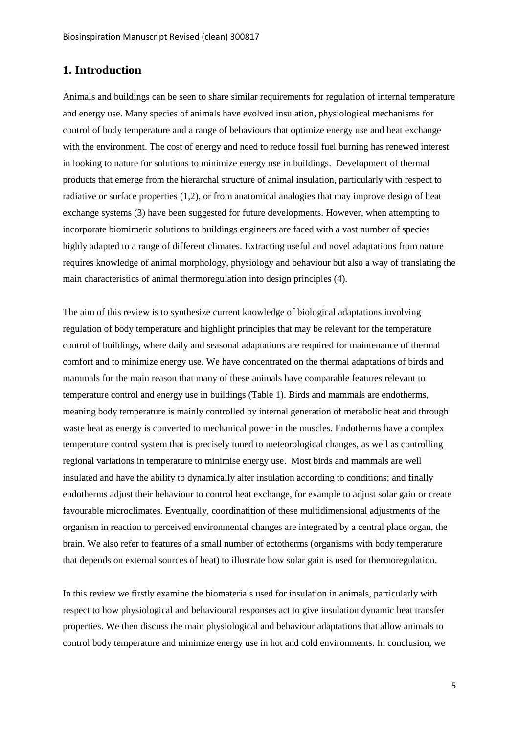# <span id="page-5-0"></span>**1. Introduction**

Animals and buildings can be seen to share similar requirements for regulation of internal temperature and energy use. Many species of animals have evolved insulation, physiological mechanisms for control of body temperature and a range of behaviours that optimize energy use and heat exchange with the environment. The cost of energy and need to reduce fossil fuel burning has renewed interest in looking to nature for solutions to minimize energy use in buildings. Development of thermal products that emerge from the hierarchal structure of animal insulation, particularly with respect to radiative or surface properties (1,2), or from anatomical analogies that may improve design of heat exchange systems (3) have been suggested for future developments. However, when attempting to incorporate biomimetic solutions to buildings engineers are faced with a vast number of species highly adapted to a range of different climates. Extracting useful and novel adaptations from nature requires knowledge of animal morphology, physiology and behaviour but also a way of translating the main characteristics of animal thermoregulation into design principles (4).

The aim of this review is to synthesize current knowledge of biological adaptations involving regulation of body temperature and highlight principles that may be relevant for the temperature control of buildings, where daily and seasonal adaptations are required for maintenance of thermal comfort and to minimize energy use. We have concentrated on the thermal adaptations of birds and mammals for the main reason that many of these animals have comparable features relevant to temperature control and energy use in buildings (Table 1). Birds and mammals are endotherms, meaning body temperature is mainly controlled by internal generation of metabolic heat and through waste heat as energy is converted to mechanical power in the muscles. Endotherms have a complex temperature control system that is precisely tuned to meteorological changes, as well as controlling regional variations in temperature to minimise energy use. Most birds and mammals are well insulated and have the ability to dynamically alter insulation according to conditions; and finally endotherms adjust their behaviour to control heat exchange, for example to adjust solar gain or create favourable microclimates. Eventually, coordinatition of these multidimensional adjustments of the organism in reaction to perceived environmental changes are integrated by a central place organ, the brain. We also refer to features of a small number of ectotherms (organisms with body temperature that depends on external sources of heat) to illustrate how solar gain is used for thermoregulation.

In this review we firstly examine the biomaterials used for insulation in animals, particularly with respect to how physiological and behavioural responses act to give insulation dynamic heat transfer properties. We then discuss the main physiological and behaviour adaptations that allow animals to control body temperature and minimize energy use in hot and cold environments. In conclusion, we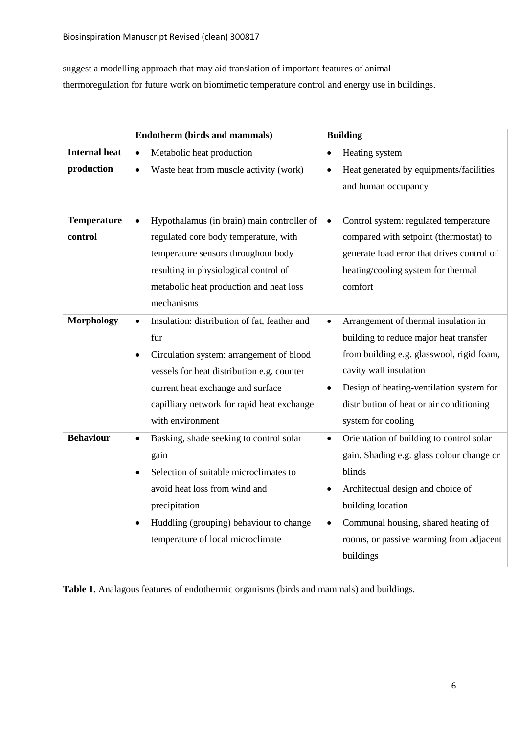suggest a modelling approach that may aid translation of important features of animal thermoregulation for future work on biomimetic temperature control and energy use in buildings.

|                      | <b>Endotherm (birds and mammals)</b>                      | <b>Building</b>                                       |  |  |
|----------------------|-----------------------------------------------------------|-------------------------------------------------------|--|--|
| <b>Internal heat</b> | Metabolic heat production<br>$\bullet$                    | Heating system<br>$\bullet$                           |  |  |
| production           | Waste heat from muscle activity (work)<br>$\bullet$       | Heat generated by equipments/facilities               |  |  |
|                      |                                                           | and human occupancy                                   |  |  |
|                      |                                                           |                                                       |  |  |
| <b>Temperature</b>   | Hypothalamus (in brain) main controller of                | Control system: regulated temperature                 |  |  |
| control              | regulated core body temperature, with                     | compared with setpoint (thermostat) to                |  |  |
|                      | temperature sensors throughout body                       | generate load error that drives control of            |  |  |
|                      | resulting in physiological control of                     | heating/cooling system for thermal                    |  |  |
|                      | metabolic heat production and heat loss                   | comfort                                               |  |  |
|                      | mechanisms                                                |                                                       |  |  |
| <b>Morphology</b>    | Insulation: distribution of fat, feather and<br>$\bullet$ | Arrangement of thermal insulation in<br>$\bullet$     |  |  |
|                      | fur                                                       | building to reduce major heat transfer                |  |  |
|                      | Circulation system: arrangement of blood<br>$\bullet$     | from building e.g. glasswool, rigid foam,             |  |  |
|                      | vessels for heat distribution e.g. counter                | cavity wall insulation                                |  |  |
|                      | current heat exchange and surface                         | Design of heating-ventilation system for<br>$\bullet$ |  |  |
|                      | capilliary network for rapid heat exchange                | distribution of heat or air conditioning              |  |  |
|                      | with environment                                          | system for cooling                                    |  |  |
| <b>Behaviour</b>     | Basking, shade seeking to control solar<br>$\bullet$      | Orientation of building to control solar<br>$\bullet$ |  |  |
|                      | gain                                                      | gain. Shading e.g. glass colour change or             |  |  |
|                      | Selection of suitable microclimates to                    | blinds                                                |  |  |
|                      | avoid heat loss from wind and                             | Architectual design and choice of<br>$\bullet$        |  |  |
|                      | precipitation                                             | building location                                     |  |  |
|                      | Huddling (grouping) behaviour to change<br>$\bullet$      | Communal housing, shared heating of<br>$\bullet$      |  |  |
|                      | temperature of local microclimate                         | rooms, or passive warming from adjacent               |  |  |
|                      |                                                           | buildings                                             |  |  |

**Table 1.** Analagous features of endothermic organisms (birds and mammals) and buildings.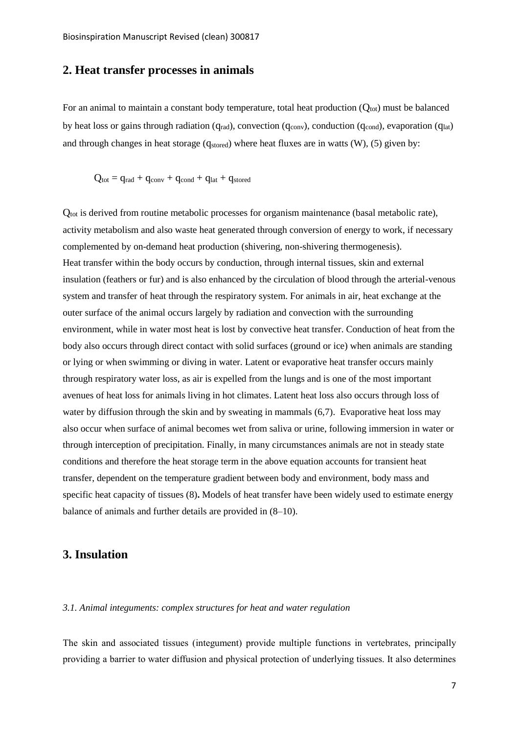# <span id="page-7-0"></span>**2. Heat transfer processes in animals**

For an animal to maintain a constant body temperature, total heat production  $(Q_{\text{tot}})$  must be balanced by heat loss or gains through radiation ( $q_{rad}$ ), convection ( $q_{conv}$ ), conduction ( $q_{cond}$ ), evaporation ( $q_{lat}$ ) and through changes in heat storage ( $q_{\text{stored}}$ ) where heat fluxes are in watts (W), (5) given by:

$$
Q_{tot} = q_{rad} + q_{conv} + q_{cond} + q_{lat} + q_{stored}
$$

Q<sub>tot</sub> is derived from routine metabolic processes for organism maintenance (basal metabolic rate), activity metabolism and also waste heat generated through conversion of energy to work, if necessary complemented by on-demand heat production (shivering, non-shivering thermogenesis). Heat transfer within the body occurs by conduction, through internal tissues, skin and external insulation (feathers or fur) and is also enhanced by the circulation of blood through the arterial-venous system and transfer of heat through the respiratory system. For animals in air, heat exchange at the outer surface of the animal occurs largely by radiation and convection with the surrounding environment, while in water most heat is lost by convective heat transfer. Conduction of heat from the body also occurs through direct contact with solid surfaces (ground or ice) when animals are standing or lying or when swimming or diving in water. Latent or evaporative heat transfer occurs mainly through respiratory water loss, as air is expelled from the lungs and is one of the most important avenues of heat loss for animals living in hot climates. Latent heat loss also occurs through loss of water by diffusion through the skin and by sweating in mammals (6,7). Evaporative heat loss may also occur when surface of animal becomes wet from saliva or urine, following immersion in water or through interception of precipitation. Finally, in many circumstances animals are not in steady state conditions and therefore the heat storage term in the above equation accounts for transient heat transfer, dependent on the temperature gradient between body and environment, body mass and specific heat capacity of tissues (8)**.** Models of heat transfer have been widely used to estimate energy balance of animals and further details are provided in (8–10).

# <span id="page-7-1"></span>**3. Insulation**

## <span id="page-7-2"></span>*3.1. Animal integuments: complex structures for heat and water regulation*

The skin and associated tissues (integument) provide multiple functions in vertebrates, principally providing a barrier to water diffusion and physical protection of underlying tissues. It also determines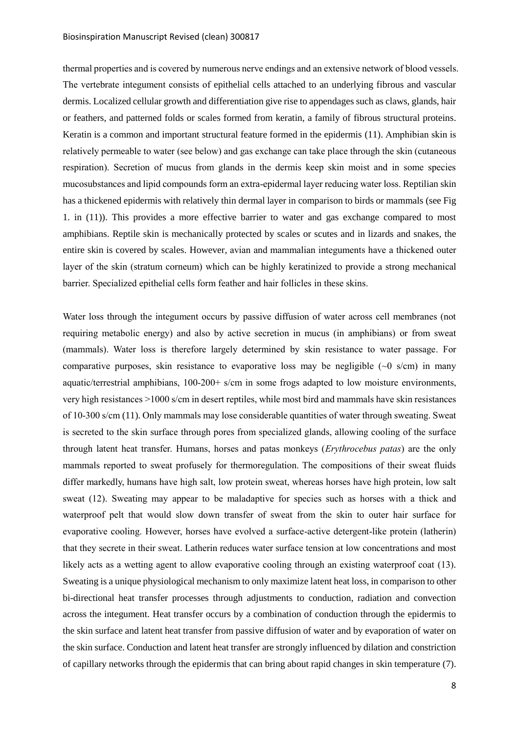thermal properties and is covered by numerous nerve endings and an extensive network of blood vessels. The vertebrate integument consists of epithelial cells attached to an underlying fibrous and vascular dermis. Localized cellular growth and differentiation give rise to appendages such as claws, glands, hair or feathers, and patterned folds or scales formed from keratin, a family of fibrous structural proteins. Keratin is a common and important structural feature formed in the epidermis (11). Amphibian skin is relatively permeable to water (see below) and gas exchange can take place through the skin (cutaneous respiration). Secretion of mucus from glands in the dermis keep skin moist and in some species mucosubstances and lipid compounds form an extra-epidermal layer reducing water loss. Reptilian skin has a thickened epidermis with relatively thin dermal layer in comparison to birds or mammals (see Fig 1. in (11)). This provides a more effective barrier to water and gas exchange compared to most amphibians. Reptile skin is mechanically protected by scales or scutes and in lizards and snakes, the entire skin is covered by scales. However, avian and mammalian integuments have a thickened outer layer of the skin (stratum corneum) which can be highly keratinized to provide a strong mechanical barrier. Specialized epithelial cells form feather and hair follicles in these skins.

Water loss through the integument occurs by passive diffusion of water across cell membranes (not requiring metabolic energy) and also by active secretion in mucus (in amphibians) or from sweat (mammals). Water loss is therefore largely determined by skin resistance to water passage. For comparative purposes, skin resistance to evaporative loss may be negligible  $(\sim 0 \text{ s/cm})$  in many aquatic/terrestrial amphibians, 100-200+ s/cm in some frogs adapted to low moisture environments, very high resistances >1000 s/cm in desert reptiles, while most bird and mammals have skin resistances of 10-300 s/cm (11). Only mammals may lose considerable quantities of water through sweating. Sweat is secreted to the skin surface through pores from specialized glands, allowing cooling of the surface through latent heat transfer. Humans, horses and patas monkeys (*Erythrocebus patas*) are the only mammals reported to sweat profusely for thermoregulation. The compositions of their sweat fluids differ markedly, humans have high salt, low protein sweat, whereas horses have high protein, low salt sweat (12). Sweating may appear to be maladaptive for species such as horses with a thick and waterproof pelt that would slow down transfer of sweat from the skin to outer hair surface for evaporative cooling. However, horses have evolved a surface-active detergent-like protein (latherin) that they secrete in their sweat. Latherin reduces water surface tension at low concentrations and most likely acts as a wetting agent to allow evaporative cooling through an existing waterproof coat (13). Sweating is a unique physiological mechanism to only maximize latent heat loss, in comparison to other bi-directional heat transfer processes through adjustments to conduction, radiation and convection across the integument. Heat transfer occurs by a combination of conduction through the epidermis to the skin surface and latent heat transfer from passive diffusion of water and by evaporation of water on the skin surface. Conduction and latent heat transfer are strongly influenced by dilation and constriction of capillary networks through the epidermis that can bring about rapid changes in skin temperature (7).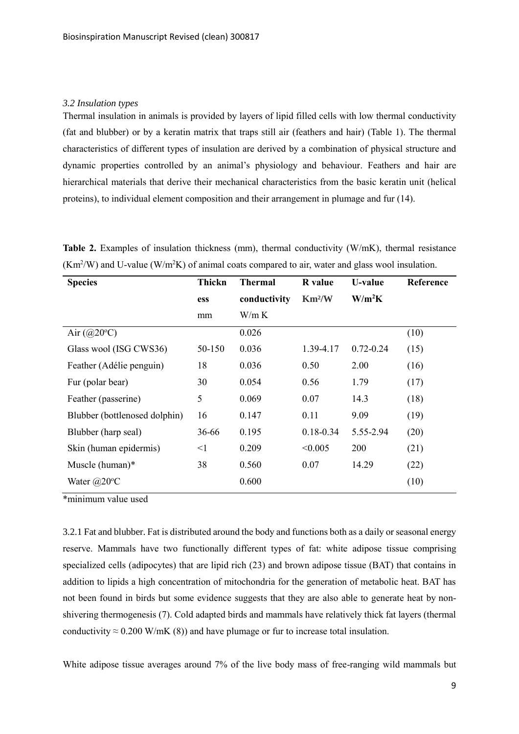### <span id="page-9-0"></span>*3.2 Insulation types*

Thermal insulation in animals is provided by layers of lipid filled cells with low thermal conductivity (fat and blubber) or by a keratin matrix that traps still air (feathers and hair) (Table 1). The thermal characteristics of different types of insulation are derived by a combination of physical structure and dynamic properties controlled by an animal's physiology and behaviour. Feathers and hair are hierarchical materials that derive their mechanical characteristics from the basic keratin unit (helical proteins), to individual element composition and their arrangement in plumage and fur (14).

| <b>Species</b>                   | Thickn | <b>Thermal</b> | <b>R</b> value                       | <b>U-value</b> | Reference |
|----------------------------------|--------|----------------|--------------------------------------|----------------|-----------|
|                                  | ess    | conductivity   | $\mathrm{Km}^2\mathrm{/} \mathrm{W}$ | $W/m^2K$       |           |
|                                  | mm     | W/m K          |                                      |                |           |
| Air $\left(\frac{a}{20}C\right)$ |        | 0.026          |                                      |                | (10)      |
| Glass wool (ISG CWS36)           | 50-150 | 0.036          | 1.39-4.17                            | $0.72 - 0.24$  | (15)      |
| Feather (Adélie penguin)         | 18     | 0.036          | 0.50                                 | 2.00           | (16)      |
| Fur (polar bear)                 | 30     | 0.054          | 0.56                                 | 1.79           | (17)      |
| Feather (passerine)              | 5      | 0.069          | 0.07                                 | 14.3           | (18)      |
| Blubber (bottlenosed dolphin)    | 16     | 0.147          | 0.11                                 | 9.09           | (19)      |
| Blubber (harp seal)              | 36-66  | 0.195          | $0.18 - 0.34$                        | 5.55-2.94      | (20)      |
| Skin (human epidermis)           | $<$ 1  | 0.209          | < 0.005                              | 200            | (21)      |

Muscle (human)\* 38 0.560 0.07 14.29 (22) Water  $(a)20^{\circ}\text{C}$  (10)

**Table 2.** Examples of insulation thickness (mm), thermal conductivity (W/mK), thermal resistance  $(Km<sup>2</sup>/W)$  and U-value (W/m<sup>2</sup>K) of animal coats compared to air, water and glass wool insulation.

\*minimum value used

<span id="page-9-1"></span>3.2.1 Fat and blubber. Fat is distributed around the body and functions both as a daily or seasonal energy reserve. Mammals have two functionally different types of fat: white adipose tissue comprising specialized cells (adipocytes) that are lipid rich (23) and brown adipose tissue (BAT) that contains in addition to lipids a high concentration of mitochondria for the generation of metabolic heat. BAT has not been found in birds but some evidence suggests that they are also able to generate heat by nonshivering thermogenesis (7). Cold adapted birds and mammals have relatively thick fat layers (thermal conductivity  $\approx 0.200$  W/mK (8)) and have plumage or fur to increase total insulation.

White adipose tissue averages around 7% of the live body mass of free-ranging wild mammals but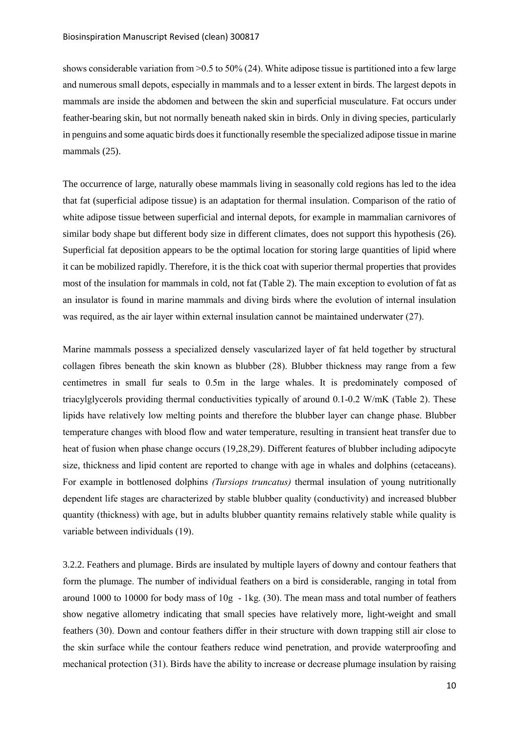shows considerable variation from >0.5 to 50% (24). White adipose tissue is partitioned into a few large and numerous small depots, especially in mammals and to a lesser extent in birds. The largest depots in mammals are inside the abdomen and between the skin and superficial musculature. Fat occurs under feather-bearing skin, but not normally beneath naked skin in birds. Only in diving species, particularly in penguins and some aquatic birds does it functionally resemble the specialized adipose tissue in marine mammals  $(25)$ .

The occurrence of large, naturally obese mammals living in seasonally cold regions has led to the idea that fat (superficial adipose tissue) is an adaptation for thermal insulation. Comparison of the ratio of white adipose tissue between superficial and internal depots, for example in mammalian carnivores of similar body shape but different body size in different climates, does not support this hypothesis (26). Superficial fat deposition appears to be the optimal location for storing large quantities of lipid where it can be mobilized rapidly. Therefore, it is the thick coat with superior thermal properties that provides most of the insulation for mammals in cold, not fat (Table 2). The main exception to evolution of fat as an insulator is found in marine mammals and diving birds where the evolution of internal insulation was required, as the air layer within external insulation cannot be maintained underwater (27).

Marine mammals possess a specialized densely vascularized layer of fat held together by structural collagen fibres beneath the skin known as blubber (28). Blubber thickness may range from a few centimetres in small fur seals to 0.5m in the large whales. It is predominately composed of triacylglycerols providing thermal conductivities typically of around 0.1-0.2 W/mK (Table 2). These lipids have relatively low melting points and therefore the blubber layer can change phase. Blubber temperature changes with blood flow and water temperature, resulting in transient heat transfer due to heat of fusion when phase change occurs (19,28,29). Different features of blubber including adipocyte size, thickness and lipid content are reported to change with age in whales and dolphins (cetaceans). For example in bottlenosed dolphins *(Tursiops truncatus)* thermal insulation of young nutritionally dependent life stages are characterized by stable blubber quality (conductivity) and increased blubber quantity (thickness) with age, but in adults blubber quantity remains relatively stable while quality is variable between individuals (19).

<span id="page-10-0"></span>3.2.2. Feathers and plumage. Birds are insulated by multiple layers of downy and contour feathers that form the plumage. The number of individual feathers on a bird is considerable, ranging in total from around 1000 to 10000 for body mass of 10g - 1kg. (30). The mean mass and total number of feathers show negative allometry indicating that small species have relatively more, light-weight and small feathers (30). Down and contour feathers differ in their structure with down trapping still air close to the skin surface while the contour feathers reduce wind penetration, and provide waterproofing and mechanical protection (31). Birds have the ability to increase or decrease plumage insulation by raising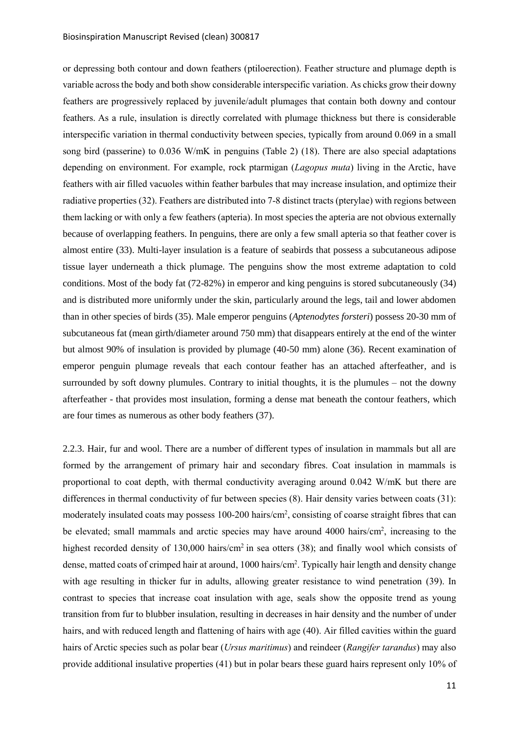or depressing both contour and down feathers (ptiloerection). Feather structure and plumage depth is variable across the body and both show considerable interspecific variation. As chicks grow their downy feathers are progressively replaced by juvenile/adult plumages that contain both downy and contour feathers. As a rule, insulation is directly correlated with plumage thickness but there is considerable interspecific variation in thermal conductivity between species, typically from around 0.069 in a small song bird (passerine) to 0.036 W/mK in penguins (Table 2) (18). There are also special adaptations depending on environment. For example, rock ptarmigan (*Lagopus muta*) living in the Arctic, have feathers with air filled vacuoles within feather barbules that may increase insulation, and optimize their radiative properties (32). Feathers are distributed into 7-8 distinct tracts (pterylae) with regions between them lacking or with only a few feathers (apteria). In most species the apteria are not obvious externally because of overlapping feathers. In penguins, there are only a few small apteria so that feather cover is almost entire (33). Multi-layer insulation is a feature of seabirds that possess a subcutaneous adipose tissue layer underneath a thick plumage. The penguins show the most extreme adaptation to cold conditions. Most of the body fat (72-82%) in emperor and king penguins is stored subcutaneously (34) and is distributed more uniformly under the skin, particularly around the legs, tail and lower abdomen than in other species of birds (35). Male emperor penguins (*Aptenodytes forsteri*) possess 20-30 mm of subcutaneous fat (mean girth/diameter around 750 mm) that disappears entirely at the end of the winter but almost 90% of insulation is provided by plumage (40-50 mm) alone (36). Recent examination of emperor penguin plumage reveals that each contour feather has an attached afterfeather, and is surrounded by soft downy plumules. Contrary to initial thoughts, it is the plumules – not the downy afterfeather - that provides most insulation, forming a dense mat beneath the contour feathers, which are four times as numerous as other body feathers (37).

<span id="page-11-0"></span>2.2.3. Hair, fur and wool. There are a number of different types of insulation in mammals but all are formed by the arrangement of primary hair and secondary fibres. Coat insulation in mammals is proportional to coat depth, with thermal conductivity averaging around 0.042 W/mK but there are differences in thermal conductivity of fur between species (8). Hair density varies between coats (31): moderately insulated coats may possess 100-200 hairs/cm<sup>2</sup>, consisting of coarse straight fibres that can be elevated; small mammals and arctic species may have around 4000 hairs/cm<sup>2</sup>, increasing to the highest recorded density of 130,000 hairs/cm<sup>2</sup> in sea otters (38); and finally wool which consists of dense, matted coats of crimped hair at around, 1000 hairs/cm<sup>2</sup>. Typically hair length and density change with age resulting in thicker fur in adults, allowing greater resistance to wind penetration (39). In contrast to species that increase coat insulation with age, seals show the opposite trend as young transition from fur to blubber insulation, resulting in decreases in hair density and the number of under hairs, and with reduced length and flattening of hairs with age (40). Air filled cavities within the guard hairs of Arctic species such as polar bear (*Ursus maritimus*) and reindeer (*Rangifer tarandus*) may also provide additional insulative properties (41) but in polar bears these guard hairs represent only 10% of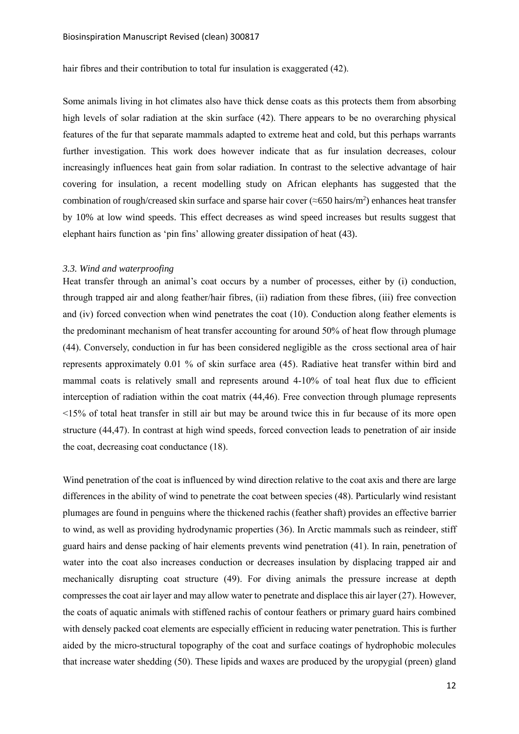hair fibres and their contribution to total fur insulation is exaggerated (42).

Some animals living in hot climates also have thick dense coats as this protects them from absorbing high levels of solar radiation at the skin surface (42). There appears to be no overarching physical features of the fur that separate mammals adapted to extreme heat and cold, but this perhaps warrants further investigation. This work does however indicate that as fur insulation decreases, colour increasingly influences heat gain from solar radiation. In contrast to the selective advantage of hair covering for insulation, a recent modelling study on African elephants has suggested that the combination of rough/creased skin surface and sparse hair cover ( $\approx$ 650 hairs/m<sup>2</sup>) enhances heat transfer by 10% at low wind speeds. This effect decreases as wind speed increases but results suggest that elephant hairs function as 'pin fins' allowing greater dissipation of heat (43).

#### <span id="page-12-0"></span>*3.3. Wind and waterproofing*

Heat transfer through an animal's coat occurs by a number of processes, either by (i) conduction, through trapped air and along feather/hair fibres, (ii) radiation from these fibres, (iii) free convection and (iv) forced convection when wind penetrates the coat (10). Conduction along feather elements is the predominant mechanism of heat transfer accounting for around 50% of heat flow through plumage (44). Conversely, conduction in fur has been considered negligible as the cross sectional area of hair represents approximately 0.01 % of skin surface area (45). Radiative heat transfer within bird and mammal coats is relatively small and represents around 4-10% of toal heat flux due to efficient interception of radiation within the coat matrix (44,46). Free convection through plumage represents <15% of total heat transfer in still air but may be around twice this in fur because of its more open structure (44,47). In contrast at high wind speeds, forced convection leads to penetration of air inside the coat, decreasing coat conductance (18).

Wind penetration of the coat is influenced by wind direction relative to the coat axis and there are large differences in the ability of wind to penetrate the coat between species (48). Particularly wind resistant plumages are found in penguins where the thickened rachis (feather shaft) provides an effective barrier to wind, as well as providing hydrodynamic properties (36). In Arctic mammals such as reindeer, stiff guard hairs and dense packing of hair elements prevents wind penetration (41). In rain, penetration of water into the coat also increases conduction or decreases insulation by displacing trapped air and mechanically disrupting coat structure (49). For diving animals the pressure increase at depth compresses the coat air layer and may allow water to penetrate and displace this air layer (27). However, the coats of aquatic animals with stiffened rachis of contour feathers or primary guard hairs combined with densely packed coat elements are especially efficient in reducing water penetration. This is further aided by the micro-structural topography of the coat and surface coatings of hydrophobic molecules that increase water shedding (50). These lipids and waxes are produced by the uropygial (preen) gland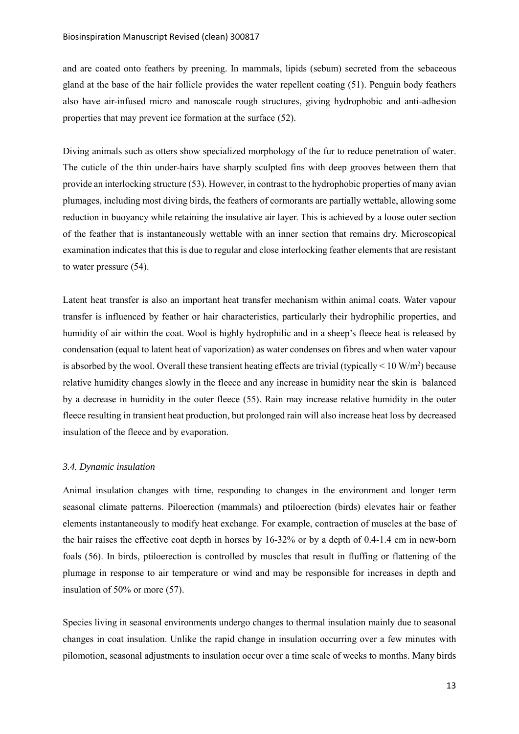and are coated onto feathers by preening. In mammals, lipids (sebum) secreted from the sebaceous gland at the base of the hair follicle provides the water repellent coating (51). Penguin body feathers also have air-infused micro and nanoscale rough structures, giving hydrophobic and anti-adhesion properties that may prevent ice formation at the surface (52).

Diving animals such as otters show specialized morphology of the fur to reduce penetration of water. The cuticle of the thin under-hairs have sharply sculpted fins with deep grooves between them that provide an interlocking structure (53). However, in contrast to the hydrophobic properties of many avian plumages, including most diving birds, the feathers of cormorants are partially wettable, allowing some reduction in buoyancy while retaining the insulative air layer. This is achieved by a loose outer section of the feather that is instantaneously wettable with an inner section that remains dry. Microscopical examination indicates that this is due to regular and close interlocking feather elements that are resistant to water pressure (54).

Latent heat transfer is also an important heat transfer mechanism within animal coats. Water vapour transfer is influenced by feather or hair characteristics, particularly their hydrophilic properties, and humidity of air within the coat. Wool is highly hydrophilic and in a sheep's fleece heat is released by condensation (equal to latent heat of vaporization) as water condenses on fibres and when water vapour is absorbed by the wool. Overall these transient heating effects are trivial (typically  $\leq 10 \text{ W/m}^2$ ) because relative humidity changes slowly in the fleece and any increase in humidity near the skin is balanced by a decrease in humidity in the outer fleece (55). Rain may increase relative humidity in the outer fleece resulting in transient heat production, but prolonged rain will also increase heat loss by decreased insulation of the fleece and by evaporation.

#### <span id="page-13-0"></span>*3.4. Dynamic insulation*

Animal insulation changes with time, responding to changes in the environment and longer term seasonal climate patterns. Piloerection (mammals) and ptiloerection (birds) elevates hair or feather elements instantaneously to modify heat exchange. For example, contraction of muscles at the base of the hair raises the effective coat depth in horses by 16-32% or by a depth of 0.4-1.4 cm in new-born foals (56). In birds, ptiloerection is controlled by muscles that result in fluffing or flattening of the plumage in response to air temperature or wind and may be responsible for increases in depth and insulation of 50% or more (57).

Species living in seasonal environments undergo changes to thermal insulation mainly due to seasonal changes in coat insulation. Unlike the rapid change in insulation occurring over a few minutes with pilomotion, seasonal adjustments to insulation occur over a time scale of weeks to months. Many birds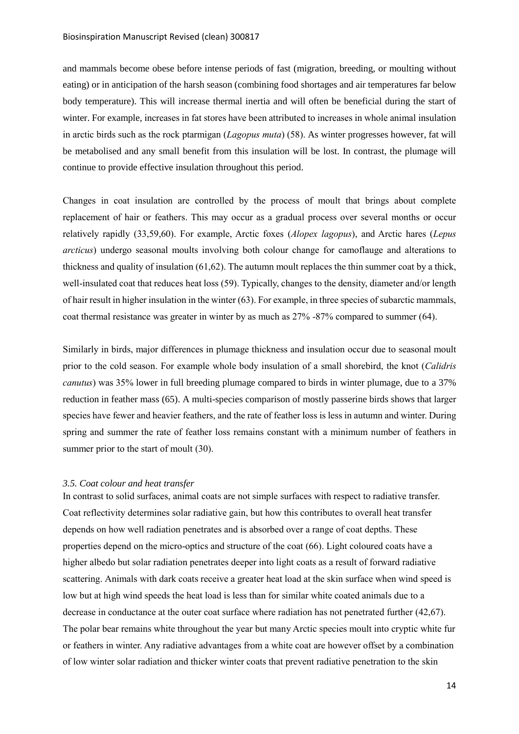and mammals become obese before intense periods of fast (migration, breeding, or moulting without eating) or in anticipation of the harsh season (combining food shortages and air temperatures far below body temperature). This will increase thermal inertia and will often be beneficial during the start of winter. For example, increases in fat stores have been attributed to increases in whole animal insulation in arctic birds such as the rock ptarmigan (*Lagopus muta*) (58). As winter progresses however, fat will be metabolised and any small benefit from this insulation will be lost. In contrast, the plumage will continue to provide effective insulation throughout this period.

Changes in coat insulation are controlled by the process of moult that brings about complete replacement of hair or feathers. This may occur as a gradual process over several months or occur relatively rapidly (33,59,60). For example, Arctic foxes (*Alopex lagopus*), and Arctic hares (*Lepus arcticus*) undergo seasonal moults involving both colour change for camoflauge and alterations to thickness and quality of insulation (61,62). The autumn moult replaces the thin summer coat by a thick, well-insulated coat that reduces heat loss (59). Typically, changes to the density, diameter and/or length of hair result in higher insulation in the winter (63). For example, in three species of subarctic mammals, coat thermal resistance was greater in winter by as much as 27% -87% compared to summer (64).

Similarly in birds, major differences in plumage thickness and insulation occur due to seasonal moult prior to the cold season. For example whole body insulation of a small shorebird, the knot (*Calidris canutus*) was 35% lower in full breeding plumage compared to birds in winter plumage, due to a 37% reduction in feather mass (65). A multi-species comparison of mostly passerine birds shows that larger species have fewer and heavier feathers, and the rate of feather loss is less in autumn and winter. During spring and summer the rate of feather loss remains constant with a minimum number of feathers in summer prior to the start of moult  $(30)$ .

## <span id="page-14-0"></span>*3.5. Coat colour and heat transfer*

In contrast to solid surfaces, animal coats are not simple surfaces with respect to radiative transfer. Coat reflectivity determines solar radiative gain, but how this contributes to overall heat transfer depends on how well radiation penetrates and is absorbed over a range of coat depths. These properties depend on the micro-optics and structure of the coat (66). Light coloured coats have a higher albedo but solar radiation penetrates deeper into light coats as a result of forward radiative scattering. Animals with dark coats receive a greater heat load at the skin surface when wind speed is low but at high wind speeds the heat load is less than for similar white coated animals due to a decrease in conductance at the outer coat surface where radiation has not penetrated further (42,67). The polar bear remains white throughout the year but many Arctic species moult into cryptic white fur or feathers in winter. Any radiative advantages from a white coat are however offset by a combination of low winter solar radiation and thicker winter coats that prevent radiative penetration to the skin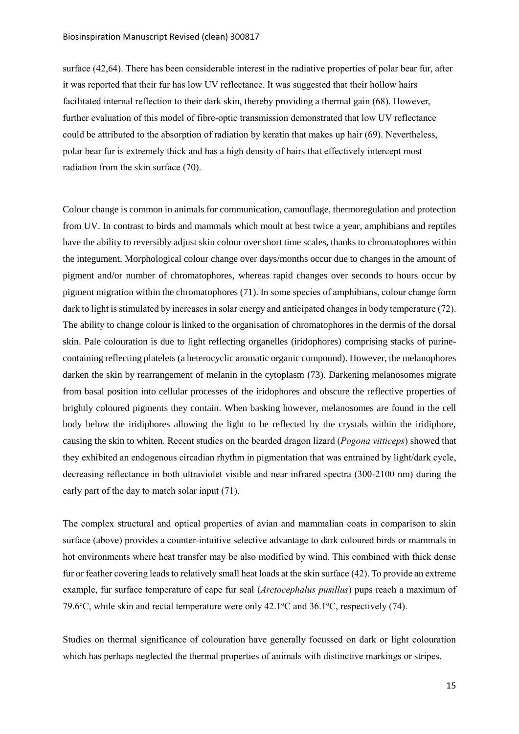surface (42,64). There has been considerable interest in the radiative properties of polar bear fur, after it was reported that their fur has low UV reflectance. It was suggested that their hollow hairs facilitated internal reflection to their dark skin, thereby providing a thermal gain (68). However, further evaluation of this model of fibre-optic transmission demonstrated that low UV reflectance could be attributed to the absorption of radiation by keratin that makes up hair (69). Nevertheless, polar bear fur is extremely thick and has a high density of hairs that effectively intercept most radiation from the skin surface (70).

Colour change is common in animals for communication, camouflage, thermoregulation and protection from UV. In contrast to birds and mammals which moult at best twice a year, amphibians and reptiles have the ability to reversibly adjust skin colour over short time scales, thanks to chromatophores within the integument. Morphological colour change over days/months occur due to changes in the amount of pigment and/or number of chromatophores, whereas rapid changes over seconds to hours occur by pigment migration within the chromatophores (71). In some species of amphibians, colour change form dark to light is stimulated by increases in solar energy and anticipated changes in body temperature (72). The ability to change colour is linked to the organisation of chromatophores in the dermis of the dorsal skin. Pale colouration is due to light reflecting organelles (iridophores) comprising stacks of purinecontaining reflecting platelets (a heterocyclic aromatic organic compound). However, the melanophores darken the skin by rearrangement of melanin in the cytoplasm (73). Darkening melanosomes migrate from basal position into cellular processes of the iridophores and obscure the reflective properties of brightly coloured pigments they contain. When basking however, melanosomes are found in the cell body below the iridiphores allowing the light to be reflected by the crystals within the iridiphore, causing the skin to whiten. Recent studies on the bearded dragon lizard (*Pogona vitticeps*) showed that they exhibited an endogenous circadian rhythm in pigmentation that was entrained by light/dark cycle, decreasing reflectance in both ultraviolet visible and near infrared spectra (300-2100 nm) during the early part of the day to match solar input (71).

The complex structural and optical properties of avian and mammalian coats in comparison to skin surface (above) provides a counter-intuitive selective advantage to dark coloured birds or mammals in hot environments where heat transfer may be also modified by wind. This combined with thick dense fur or feather covering leads to relatively small heat loads at the skin surface (42). To provide an extreme example, fur surface temperature of cape fur seal (*Arctocephalus pusillus*) pups reach a maximum of 79.6 $\degree$ C, while skin and rectal temperature were only 42.1 $\degree$ C and 36.1 $\degree$ C, respectively (74).

Studies on thermal significance of colouration have generally focussed on dark or light colouration which has perhaps neglected the thermal properties of animals with distinctive markings or stripes.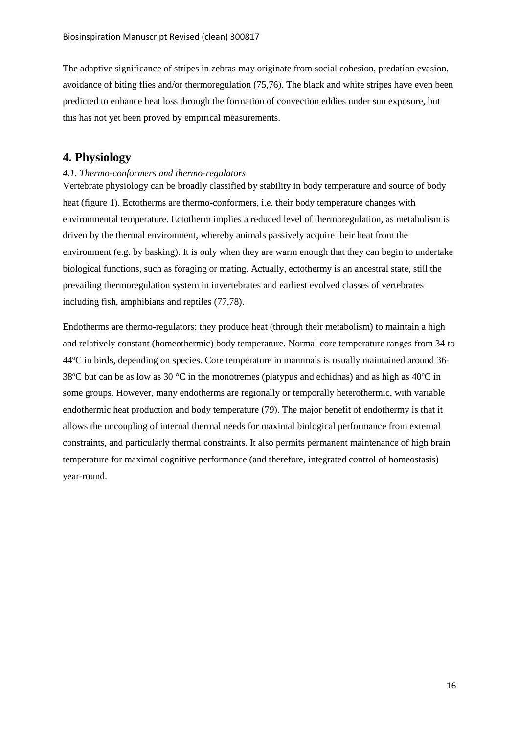The adaptive significance of stripes in zebras may originate from social cohesion, predation evasion, avoidance of biting flies and/or thermoregulation (75,76). The black and white stripes have even been predicted to enhance heat loss through the formation of convection eddies under sun exposure, but this has not yet been proved by empirical measurements.

# <span id="page-16-0"></span>**4. Physiology**

## <span id="page-16-1"></span>*4.1. Thermo-conformers and thermo-regulators*

Vertebrate physiology can be broadly classified by stability in body temperature and source of body heat (figure 1). Ectotherms are thermo-conformers, i.e. their body temperature changes with environmental temperature. Ectotherm implies a reduced level of thermoregulation, as metabolism is driven by the thermal environment, whereby animals passively acquire their heat from the environment (e.g. by basking). It is only when they are warm enough that they can begin to undertake biological functions, such as foraging or mating. Actually, ectothermy is an ancestral state, still the prevailing thermoregulation system in invertebrates and earliest evolved classes of vertebrates including fish, amphibians and reptiles (77,78).

Endotherms are thermo-regulators: they produce heat (through their metabolism) to maintain a high and relatively constant (homeothermic) body temperature. Normal core temperature ranges from 34 to 44<sup>o</sup>C in birds, depending on species. Core temperature in mammals is usually maintained around 36- 38 $\degree$ C but can be as low as 30  $\degree$ C in the monotremes (platypus and echidnas) and as high as 40 $\degree$ C in some groups. However, many endotherms are regionally or temporally heterothermic, with variable endothermic heat production and body temperature (79). The major benefit of endothermy is that it allows the uncoupling of internal thermal needs for maximal biological performance from external constraints, and particularly thermal constraints. It also permits permanent maintenance of high brain temperature for maximal cognitive performance (and therefore, integrated control of homeostasis) year-round.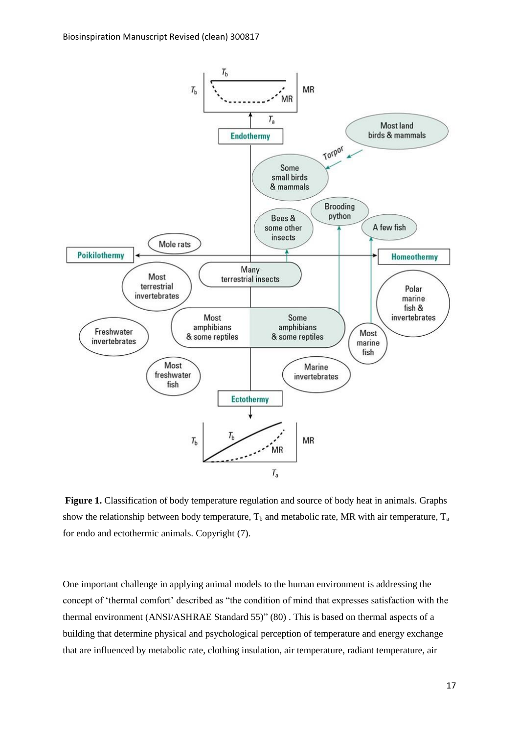

Figure 1. Classification of body temperature regulation and source of body heat in animals. Graphs show the relationship between body temperature,  $T_b$  and metabolic rate, MR with air temperature,  $T_a$ for endo and ectothermic animals. Copyright (7).

One important challenge in applying animal models to the human environment is addressing the concept of 'thermal comfort' described as "the condition of mind that expresses satisfaction with the thermal environment (ANSI/ASHRAE Standard 55)" (80) . This is based on thermal aspects of a building that determine physical and psychological perception of temperature and energy exchange that are influenced by metabolic rate, clothing insulation, air temperature, radiant temperature, air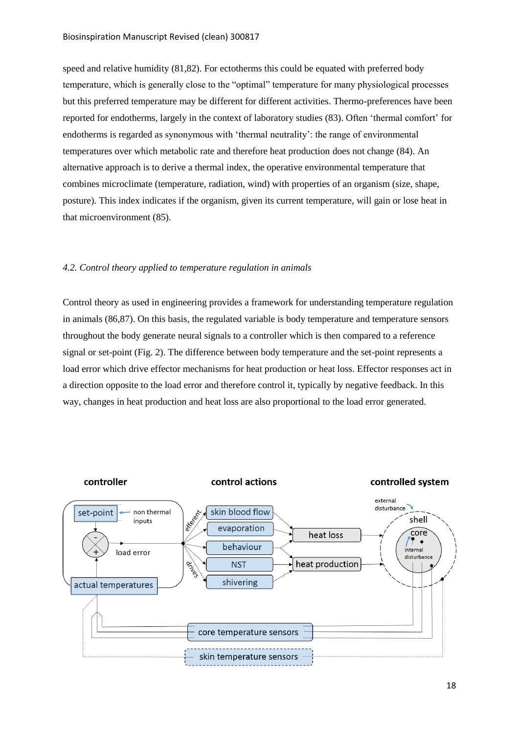speed and relative humidity (81,82). For ectotherms this could be equated with preferred body temperature, which is generally close to the "optimal" temperature for many physiological processes but this preferred temperature may be different for different activities. Thermo-preferences have been reported for endotherms, largely in the context of laboratory studies (83). Often 'thermal comfort' for endotherms is regarded as synonymous with 'thermal neutrality': the range of environmental temperatures over which metabolic rate and therefore heat production does not change (84). An alternative approach is to derive a thermal index, the operative environmental temperature that combines microclimate (temperature, radiation, wind) with properties of an organism (size, shape, posture). This index indicates if the organism, given its current temperature, will gain or lose heat in that microenvironment (85).

#### <span id="page-18-0"></span>*4.2. Control theory applied to temperature regulation in animals*

Control theory as used in engineering provides a framework for understanding temperature regulation in animals (86,87). On this basis, the regulated variable is body temperature and temperature sensors throughout the body generate neural signals to a controller which is then compared to a reference signal or set-point (Fig. 2). The difference between body temperature and the set-point represents a load error which drive effector mechanisms for heat production or heat loss. Effector responses act in a direction opposite to the load error and therefore control it, typically by negative feedback. In this way, changes in heat production and heat loss are also proportional to the load error generated.

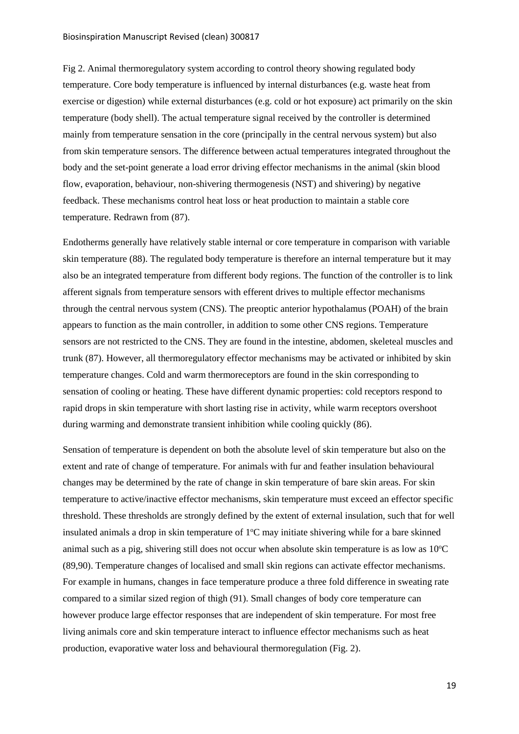Fig 2. Animal thermoregulatory system according to control theory showing regulated body temperature. Core body temperature is influenced by internal disturbances (e.g. waste heat from exercise or digestion) while external disturbances (e.g. cold or hot exposure) act primarily on the skin temperature (body shell). The actual temperature signal received by the controller is determined mainly from temperature sensation in the core (principally in the central nervous system) but also from skin temperature sensors. The difference between actual temperatures integrated throughout the body and the set-point generate a load error driving effector mechanisms in the animal (skin blood flow, evaporation, behaviour, non-shivering thermogenesis (NST) and shivering) by negative feedback. These mechanisms control heat loss or heat production to maintain a stable core temperature. Redrawn from (87).

Endotherms generally have relatively stable internal or core temperature in comparison with variable skin temperature (88). The regulated body temperature is therefore an internal temperature but it may also be an integrated temperature from different body regions. The function of the controller is to link afferent signals from temperature sensors with efferent drives to multiple effector mechanisms through the central nervous system (CNS). The preoptic anterior hypothalamus (POAH) of the brain appears to function as the main controller, in addition to some other CNS regions. Temperature sensors are not restricted to the CNS. They are found in the intestine, abdomen, skeleteal muscles and trunk (87). However, all thermoregulatory effector mechanisms may be activated or inhibited by skin temperature changes. Cold and warm thermoreceptors are found in the skin corresponding to sensation of cooling or heating. These have different dynamic properties: cold receptors respond to rapid drops in skin temperature with short lasting rise in activity, while warm receptors overshoot during warming and demonstrate transient inhibition while cooling quickly (86).

Sensation of temperature is dependent on both the absolute level of skin temperature but also on the extent and rate of change of temperature. For animals with fur and feather insulation behavioural changes may be determined by the rate of change in skin temperature of bare skin areas. For skin temperature to active/inactive effector mechanisms, skin temperature must exceed an effector specific threshold. These thresholds are strongly defined by the extent of external insulation, such that for well insulated animals a drop in skin temperature of  $1^{\circ}$ C may initiate shivering while for a bare skinned animal such as a pig, shivering still does not occur when absolute skin temperature is as low as  $10^{\circ}$ C (89,90). Temperature changes of localised and small skin regions can activate effector mechanisms. For example in humans, changes in face temperature produce a three fold difference in sweating rate compared to a similar sized region of thigh (91). Small changes of body core temperature can however produce large effector responses that are independent of skin temperature. For most free living animals core and skin temperature interact to influence effector mechanisms such as heat production, evaporative water loss and behavioural thermoregulation (Fig. 2).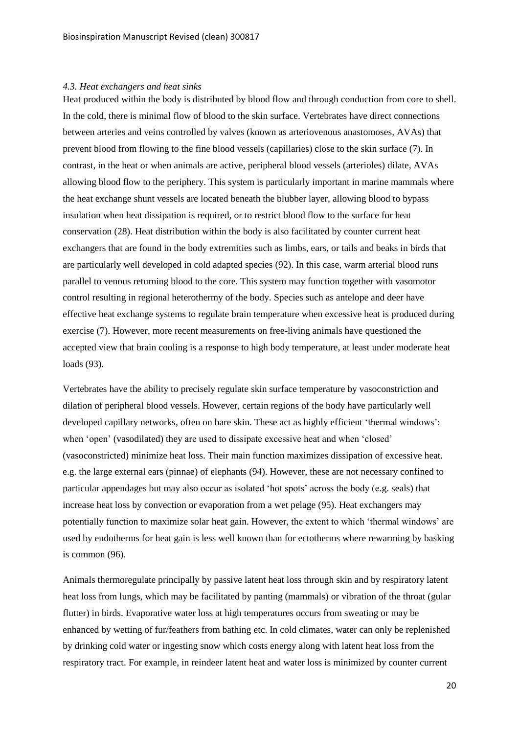### <span id="page-20-0"></span>*4.3. Heat exchangers and heat sinks*

Heat produced within the body is distributed by blood flow and through conduction from core to shell. In the cold, there is minimal flow of blood to the skin surface. Vertebrates have direct connections between arteries and veins controlled by valves (known as arteriovenous anastomoses, AVAs) that prevent blood from flowing to the fine blood vessels (capillaries) close to the skin surface (7). In contrast, in the heat or when animals are active, peripheral blood vessels (arterioles) dilate, AVAs allowing blood flow to the periphery. This system is particularly important in marine mammals where the heat exchange shunt vessels are located beneath the blubber layer, allowing blood to bypass insulation when heat dissipation is required, or to restrict blood flow to the surface for heat conservation (28). Heat distribution within the body is also facilitated by counter current heat exchangers that are found in the body extremities such as limbs, ears, or tails and beaks in birds that are particularly well developed in cold adapted species (92). In this case, warm arterial blood runs parallel to venous returning blood to the core. This system may function together with vasomotor control resulting in regional heterothermy of the body. Species such as antelope and deer have effective heat exchange systems to regulate brain temperature when excessive heat is produced during exercise (7). However, more recent measurements on free-living animals have questioned the accepted view that brain cooling is a response to high body temperature, at least under moderate heat loads (93).

Vertebrates have the ability to precisely regulate skin surface temperature by vasoconstriction and dilation of peripheral blood vessels. However, certain regions of the body have particularly well developed capillary networks, often on bare skin. These act as highly efficient 'thermal windows': when 'open' (vasodilated) they are used to dissipate excessive heat and when 'closed' (vasoconstricted) minimize heat loss. Their main function maximizes dissipation of excessive heat. e.g. the large external ears (pinnae) of elephants (94). However, these are not necessary confined to particular appendages but may also occur as isolated 'hot spots' across the body (e.g. seals) that increase heat loss by convection or evaporation from a wet pelage (95). Heat exchangers may potentially function to maximize solar heat gain. However, the extent to which 'thermal windows' are used by endotherms for heat gain is less well known than for ectotherms where rewarming by basking is common (96).

Animals thermoregulate principally by passive latent heat loss through skin and by respiratory latent heat loss from lungs, which may be facilitated by panting (mammals) or vibration of the throat (gular flutter) in birds. Evaporative water loss at high temperatures occurs from sweating or may be enhanced by wetting of fur/feathers from bathing etc. In cold climates, water can only be replenished by drinking cold water or ingesting snow which costs energy along with latent heat loss from the respiratory tract. For example, in reindeer latent heat and water loss is minimized by counter current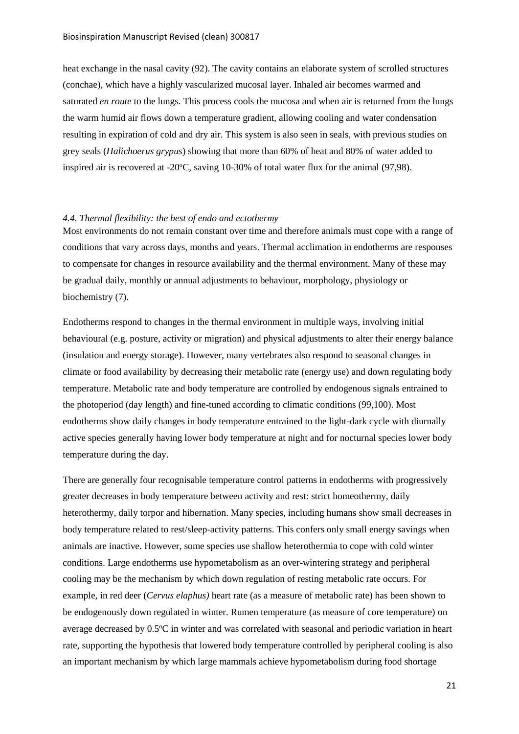heat exchange in the nasal cavity (92). The cavity contains an elaborate system of scrolled structures (conchae), which have a highly vascularized mucosal layer. Inhaled air becomes warmed and saturated *en route* to the lungs. This process cools the mucosa and when air is returned from the lungs the warm humid air flows down a temperature gradient, allowing cooling and water condensation resulting in expiration of cold and dry air. This system is also seen in seals, with previous studies on grey seals (*Halichoerus grypus*) showing that more than 60% of heat and 80% of water added to inspired air is recovered at  $-20^{\circ}$ C, saving 10-30% of total water flux for the animal (97,98).

## <span id="page-21-0"></span>*4.4. Thermal flexibility: the best of endo and ectothermy*

Most environments do not remain constant over time and therefore animals must cope with a range of conditions that vary across days, months and years. Thermal acclimation in endotherms are responses to compensate for changes in resource availability and the thermal environment. Many of these may be gradual daily, monthly or annual adjustments to behaviour, morphology, physiology or biochemistry (7).

Endotherms respond to changes in the thermal environment in multiple ways, involving initial behavioural (e.g. posture, activity or migration) and physical adjustments to alter their energy balance (insulation and energy storage). However, many vertebrates also respond to seasonal changes in climate or food availability by decreasing their metabolic rate (energy use) and down regulating body temperature. Metabolic rate and body temperature are controlled by endogenous signals entrained to the photoperiod (day length) and fine-tuned according to climatic conditions (99,100). Most endotherms show daily changes in body temperature entrained to the light-dark cycle with diurnally active species generally having lower body temperature at night and for nocturnal species lower body temperature during the day.

There are generally four recognisable temperature control patterns in endotherms with progressively greater decreases in body temperature between activity and rest: strict homeothermy, daily heterothermy, daily torpor and hibernation. Many species, including humans show small decreases in body temperature related to rest/sleep-activity patterns. This confers only small energy savings when animals are inactive. However, some species use shallow heterothermia to cope with cold winter conditions. Large endotherms use hypometabolism as an over-wintering strategy and peripheral cooling may be the mechanism by which down regulation of resting metabolic rate occurs. For example, in red deer (*Cervus elaphus)* heart rate (as a measure of metabolic rate) has been shown to be endogenously down regulated in winter. Rumen temperature (as measure of core temperature) on average decreased by 0.5<sup>o</sup>C in winter and was correlated with seasonal and periodic variation in heart rate, supporting the hypothesis that lowered body temperature controlled by peripheral cooling is also an important mechanism by which large mammals achieve hypometabolism during food shortage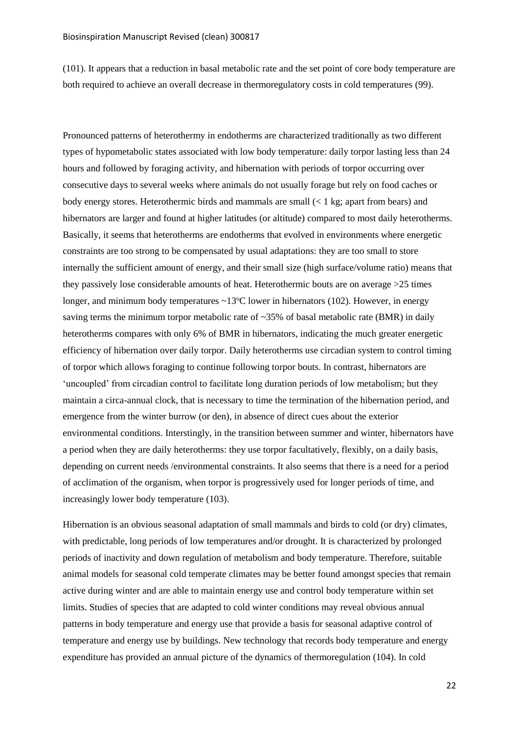(101). It appears that a reduction in basal metabolic rate and the set point of core body temperature are both required to achieve an overall decrease in thermoregulatory costs in cold temperatures (99).

Pronounced patterns of heterothermy in endotherms are characterized traditionally as two different types of hypometabolic states associated with low body temperature: daily torpor lasting less than 24 hours and followed by foraging activity, and hibernation with periods of torpor occurring over consecutive days to several weeks where animals do not usually forage but rely on food caches or body energy stores. Heterothermic birds and mammals are small  $(< 1 \text{ kg}$ ; apart from bears) and hibernators are larger and found at higher latitudes (or altitude) compared to most daily heterotherms. Basically, it seems that heterotherms are endotherms that evolved in environments where energetic constraints are too strong to be compensated by usual adaptations: they are too small to store internally the sufficient amount of energy, and their small size (high surface/volume ratio) means that they passively lose considerable amounts of heat. Heterothermic bouts are on average >25 times longer, and minimum body temperatures  $\sim 13^{\circ}$ C lower in hibernators (102). However, in energy saving terms the minimum torpor metabolic rate of  $\sim$ 35% of basal metabolic rate (BMR) in daily heterotherms compares with only 6% of BMR in hibernators, indicating the much greater energetic efficiency of hibernation over daily torpor. Daily heterotherms use circadian system to control timing of torpor which allows foraging to continue following torpor bouts. In contrast, hibernators are 'uncoupled' from circadian control to facilitate long duration periods of low metabolism; but they maintain a circa-annual clock, that is necessary to time the termination of the hibernation period, and emergence from the winter burrow (or den), in absence of direct cues about the exterior environmental conditions. Interstingly, in the transition between summer and winter, hibernators have a period when they are daily heterotherms: they use torpor facultatively, flexibly, on a daily basis, depending on current needs /environmental constraints. It also seems that there is a need for a period of acclimation of the organism, when torpor is progressively used for longer periods of time, and increasingly lower body temperature (103).

Hibernation is an obvious seasonal adaptation of small mammals and birds to cold (or dry) climates, with predictable, long periods of low temperatures and/or drought. It is characterized by prolonged periods of inactivity and down regulation of metabolism and body temperature. Therefore, suitable animal models for seasonal cold temperate climates may be better found amongst species that remain active during winter and are able to maintain energy use and control body temperature within set limits. Studies of species that are adapted to cold winter conditions may reveal obvious annual patterns in body temperature and energy use that provide a basis for seasonal adaptive control of temperature and energy use by buildings. New technology that records body temperature and energy expenditure has provided an annual picture of the dynamics of thermoregulation (104). In cold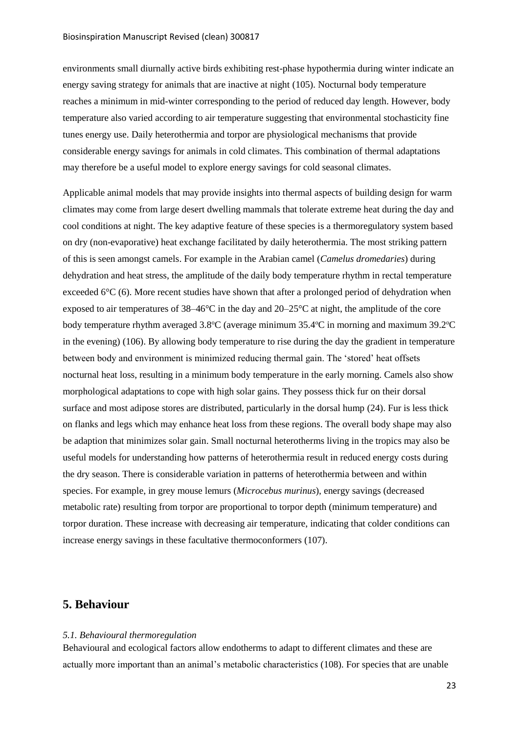environments small diurnally active birds exhibiting rest-phase hypothermia during winter indicate an energy saving strategy for animals that are inactive at night (105). Nocturnal body temperature reaches a minimum in mid-winter corresponding to the period of reduced day length. However, body temperature also varied according to air temperature suggesting that environmental stochasticity fine tunes energy use. Daily heterothermia and torpor are physiological mechanisms that provide considerable energy savings for animals in cold climates. This combination of thermal adaptations may therefore be a useful model to explore energy savings for cold seasonal climates.

Applicable animal models that may provide insights into thermal aspects of building design for warm climates may come from large desert dwelling mammals that tolerate extreme heat during the day and cool conditions at night. The key adaptive feature of these species is a thermoregulatory system based on dry (non-evaporative) heat exchange facilitated by daily heterothermia. The most striking pattern of this is seen amongst camels. For example in the Arabian camel (*Camelus dromedaries*) during dehydration and heat stress, the amplitude of the daily body temperature rhythm in rectal temperature exceeded 6°C (6). More recent studies have shown that after a prolonged period of dehydration when exposed to air temperatures of 38–46°C in the day and 20–25°C at night, the amplitude of the core body temperature rhythm averaged  $3.8^{\circ}$ C (average minimum 35.4 $^{\circ}$ C in morning and maximum 39.2 $^{\circ}$ C in the evening) (106). By allowing body temperature to rise during the day the gradient in temperature between body and environment is minimized reducing thermal gain. The 'stored' heat offsets nocturnal heat loss, resulting in a minimum body temperature in the early morning. Camels also show morphological adaptations to cope with high solar gains. They possess thick fur on their dorsal surface and most adipose stores are distributed, particularly in the dorsal hump (24). Fur is less thick on flanks and legs which may enhance heat loss from these regions. The overall body shape may also be adaption that minimizes solar gain. Small nocturnal heterotherms living in the tropics may also be useful models for understanding how patterns of heterothermia result in reduced energy costs during the dry season. There is considerable variation in patterns of heterothermia between and within species. For example, in grey mouse lemurs (*Microcebus murinus*), energy savings (decreased metabolic rate) resulting from torpor are proportional to torpor depth (minimum temperature) and torpor duration. These increase with decreasing air temperature, indicating that colder conditions can increase energy savings in these facultative thermoconformers (107).

## <span id="page-23-0"></span>**5. Behaviour**

## <span id="page-23-1"></span>*5.1. Behavioural thermoregulation*

Behavioural and ecological factors allow endotherms to adapt to different climates and these are actually more important than an animal's metabolic characteristics (108). For species that are unable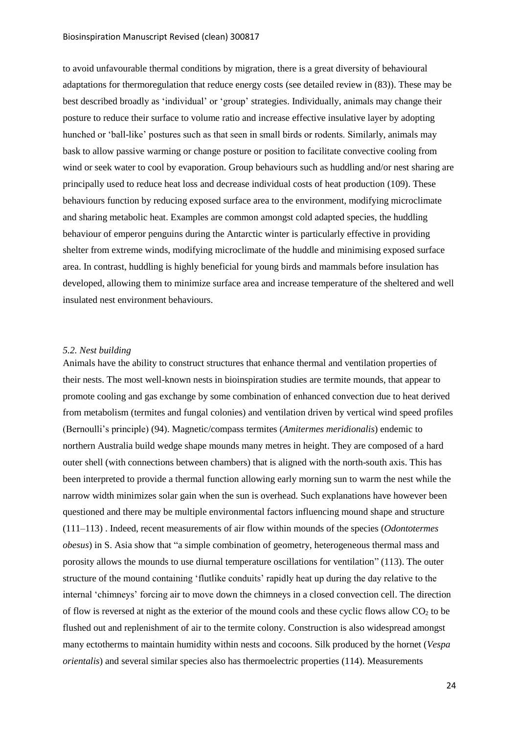to avoid unfavourable thermal conditions by migration, there is a great diversity of behavioural adaptations for thermoregulation that reduce energy costs (see detailed review in (83)). These may be best described broadly as 'individual' or 'group' strategies. Individually, animals may change their posture to reduce their surface to volume ratio and increase effective insulative layer by adopting hunched or 'ball-like' postures such as that seen in small birds or rodents. Similarly, animals may bask to allow passive warming or change posture or position to facilitate convective cooling from wind or seek water to cool by evaporation. Group behaviours such as huddling and/or nest sharing are principally used to reduce heat loss and decrease individual costs of heat production (109). These behaviours function by reducing exposed surface area to the environment, modifying microclimate and sharing metabolic heat. Examples are common amongst cold adapted species, the huddling behaviour of emperor penguins during the Antarctic winter is particularly effective in providing shelter from extreme winds, modifying microclimate of the huddle and minimising exposed surface area. In contrast, huddling is highly beneficial for young birds and mammals before insulation has developed, allowing them to minimize surface area and increase temperature of the sheltered and well insulated nest environment behaviours.

### <span id="page-24-0"></span>*5.2. Nest building*

Animals have the ability to construct structures that enhance thermal and ventilation properties of their nests. The most well-known nests in bioinspiration studies are termite mounds, that appear to promote cooling and gas exchange by some combination of enhanced convection due to heat derived from metabolism (termites and fungal colonies) and ventilation driven by vertical wind speed profiles (Bernoulli's principle) (94). Magnetic/compass termites (*Amitermes meridionalis*) endemic to northern Australia build wedge shape mounds many metres in height. They are composed of a hard outer shell (with connections between chambers) that is aligned with the north-south axis. This has been interpreted to provide a thermal function allowing early morning sun to warm the nest while the narrow width minimizes solar gain when the sun is overhead. Such explanations have however been questioned and there may be multiple environmental factors influencing mound shape and structure (111–113) . Indeed, recent measurements of air flow within mounds of the species (*Odontotermes obesus*) in S. Asia show that "a simple combination of geometry, heterogeneous thermal mass and porosity allows the mounds to use diurnal temperature oscillations for ventilation" (113). The outer structure of the mound containing 'flutlike conduits' rapidly heat up during the day relative to the internal 'chimneys' forcing air to move down the chimneys in a closed convection cell. The direction of flow is reversed at night as the exterior of the mound cools and these cyclic flows allow  $CO<sub>2</sub>$  to be flushed out and replenishment of air to the termite colony. Construction is also widespread amongst many ectotherms to maintain humidity within nests and cocoons. Silk produced by the hornet (*Vespa orientalis*) and several similar species also has thermoelectric properties (114). Measurements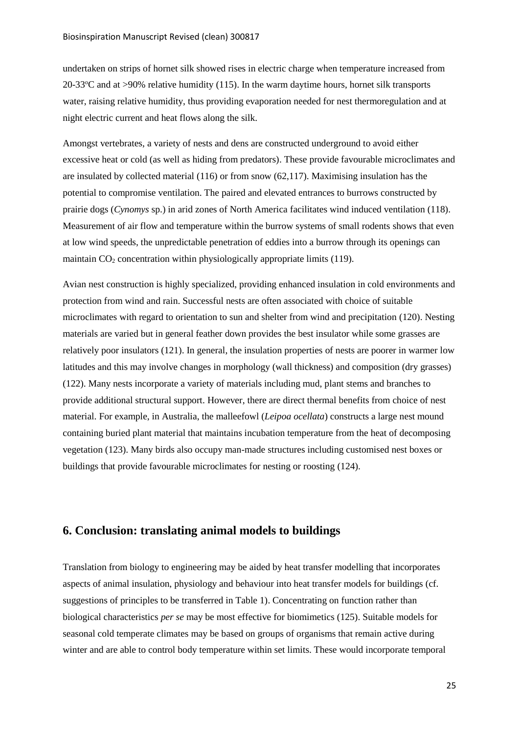undertaken on strips of hornet silk showed rises in electric charge when temperature increased from 20-33 $\degree$ C and at >90% relative humidity (115). In the warm daytime hours, hornet silk transports water, raising relative humidity, thus providing evaporation needed for nest thermoregulation and at night electric current and heat flows along the silk.

Amongst vertebrates, a variety of nests and dens are constructed underground to avoid either excessive heat or cold (as well as hiding from predators). These provide favourable microclimates and are insulated by collected material (116) or from snow (62,117). Maximising insulation has the potential to compromise ventilation. The paired and elevated entrances to burrows constructed by prairie dogs (*Cynomys* sp.) in arid zones of North America facilitates wind induced ventilation (118). Measurement of air flow and temperature within the burrow systems of small rodents shows that even at low wind speeds, the unpredictable penetration of eddies into a burrow through its openings can maintain  $CO<sub>2</sub>$  concentration within physiologically appropriate limits (119).

Avian nest construction is highly specialized, providing enhanced insulation in cold environments and protection from wind and rain. Successful nests are often associated with choice of suitable microclimates with regard to orientation to sun and shelter from wind and precipitation (120). Nesting materials are varied but in general feather down provides the best insulator while some grasses are relatively poor insulators (121). In general, the insulation properties of nests are poorer in warmer low latitudes and this may involve changes in morphology (wall thickness) and composition (dry grasses) (122). Many nests incorporate a variety of materials including mud, plant stems and branches to provide additional structural support. However, there are direct thermal benefits from choice of nest material. For example, in Australia, the malleefowl (*Leipoa ocellata*) constructs a large nest mound containing buried plant material that maintains incubation temperature from the heat of decomposing vegetation (123). Many birds also occupy man-made structures including customised nest boxes or buildings that provide favourable microclimates for nesting or roosting (124).

# <span id="page-25-0"></span>**6. Conclusion: translating animal models to buildings**

Translation from biology to engineering may be aided by heat transfer modelling that incorporates aspects of animal insulation, physiology and behaviour into heat transfer models for buildings (cf. suggestions of principles to be transferred in Table 1). Concentrating on function rather than biological characteristics *per se* may be most effective for biomimetics (125). Suitable models for seasonal cold temperate climates may be based on groups of organisms that remain active during winter and are able to control body temperature within set limits. These would incorporate temporal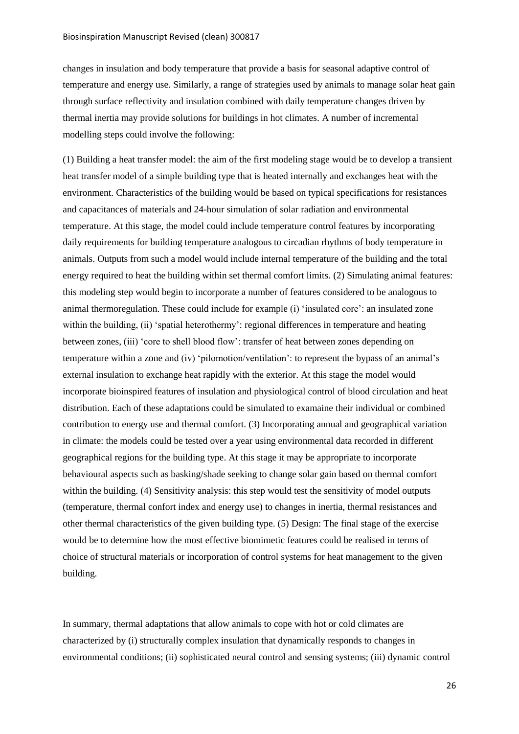changes in insulation and body temperature that provide a basis for seasonal adaptive control of temperature and energy use. Similarly, a range of strategies used by animals to manage solar heat gain through surface reflectivity and insulation combined with daily temperature changes driven by thermal inertia may provide solutions for buildings in hot climates. A number of incremental modelling steps could involve the following:

(1) Building a heat transfer model: the aim of the first modeling stage would be to develop a transient heat transfer model of a simple building type that is heated internally and exchanges heat with the environment. Characteristics of the building would be based on typical specifications for resistances and capacitances of materials and 24-hour simulation of solar radiation and environmental temperature. At this stage, the model could include temperature control features by incorporating daily requirements for building temperature analogous to circadian rhythms of body temperature in animals. Outputs from such a model would include internal temperature of the building and the total energy required to heat the building within set thermal comfort limits. (2) Simulating animal features: this modeling step would begin to incorporate a number of features considered to be analogous to animal thermoregulation. These could include for example (i) 'insulated core': an insulated zone within the building, (ii) 'spatial heterothermy': regional differences in temperature and heating between zones, (iii) 'core to shell blood flow': transfer of heat between zones depending on temperature within a zone and (iv) 'pilomotion/ventilation': to represent the bypass of an animal's external insulation to exchange heat rapidly with the exterior. At this stage the model would incorporate bioinspired features of insulation and physiological control of blood circulation and heat distribution. Each of these adaptations could be simulated to examaine their individual or combined contribution to energy use and thermal comfort. (3) Incorporating annual and geographical variation in climate: the models could be tested over a year using environmental data recorded in different geographical regions for the building type. At this stage it may be appropriate to incorporate behavioural aspects such as basking/shade seeking to change solar gain based on thermal comfort within the building. (4) Sensitivity analysis: this step would test the sensitivity of model outputs (temperature, thermal confort index and energy use) to changes in inertia, thermal resistances and other thermal characteristics of the given building type. (5) Design: The final stage of the exercise would be to determine how the most effective biomimetic features could be realised in terms of choice of structural materials or incorporation of control systems for heat management to the given building.

In summary, thermal adaptations that allow animals to cope with hot or cold climates are characterized by (i) structurally complex insulation that dynamically responds to changes in environmental conditions; (ii) sophisticated neural control and sensing systems; (iii) dynamic control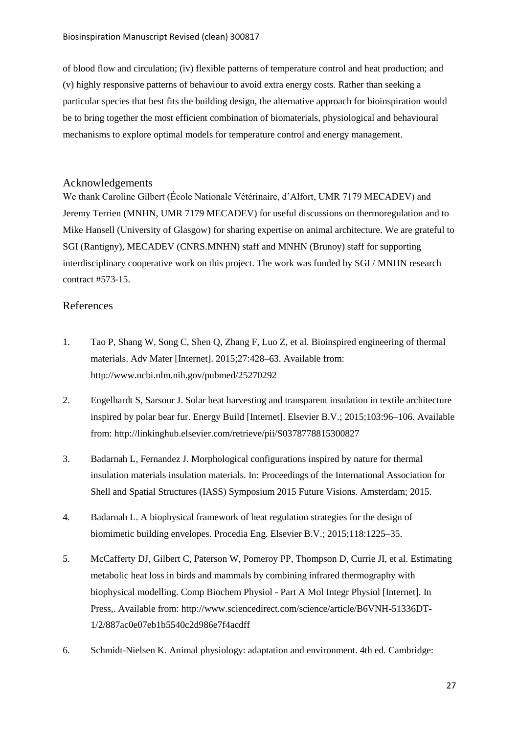of blood flow and circulation; (iv) flexible patterns of temperature control and heat production; and (v) highly responsive patterns of behaviour to avoid extra energy costs. Rather than seeking a particular species that best fits the building design, the alternative approach for bioinspiration would be to bring together the most efficient combination of biomaterials, physiological and behavioural mechanisms to explore optimal models for temperature control and energy management.

# <span id="page-27-0"></span>Acknowledgements

We thank Caroline Gilbert (École Nationale Vétérinaire, d'Alfort, UMR 7179 MECADEV) and Jeremy Terrien (MNHN, UMR 7179 MECADEV) for useful discussions on thermoregulation and to Mike Hansell (University of Glasgow) for sharing expertise on animal architecture. We are grateful to SGI (Rantigny), MECADEV (CNRS.MNHN) staff and MNHN (Brunoy) staff for supporting interdisciplinary cooperative work on this project. The work was funded by SGI / MNHN research contract #573-15.

# <span id="page-27-1"></span>References

- 1. Tao P, Shang W, Song C, Shen Q, Zhang F, Luo Z, et al. Bioinspired engineering of thermal materials. Adv Mater [Internet]. 2015;27:428–63. Available from: http://www.ncbi.nlm.nih.gov/pubmed/25270292
- 2. Engelhardt S, Sarsour J. Solar heat harvesting and transparent insulation in textile architecture inspired by polar bear fur. Energy Build [Internet]. Elsevier B.V.; 2015;103:96–106. Available from: http://linkinghub.elsevier.com/retrieve/pii/S0378778815300827
- 3. Badarnah L, Fernandez J. Morphological configurations inspired by nature for thermal insulation materials insulation materials. In: Proceedings of the International Association for Shell and Spatial Structures (IASS) Symposium 2015 Future Visions. Amsterdam; 2015.
- 4. Badarnah L. A biophysical framework of heat regulation strategies for the design of biomimetic building envelopes. Procedia Eng. Elsevier B.V.; 2015;118:1225–35.
- 5. McCafferty DJ, Gilbert C, Paterson W, Pomeroy PP, Thompson D, Currie JI, et al. Estimating metabolic heat loss in birds and mammals by combining infrared thermography with biophysical modelling. Comp Biochem Physiol - Part A Mol Integr Physiol [Internet]. In Press,. Available from: http://www.sciencedirect.com/science/article/B6VNH-51336DT-1/2/887ac0e07eb1b5540c2d986e7f4acdff
- 6. Schmidt-Nielsen K. Animal physiology: adaptation and environment. 4th ed. Cambridge: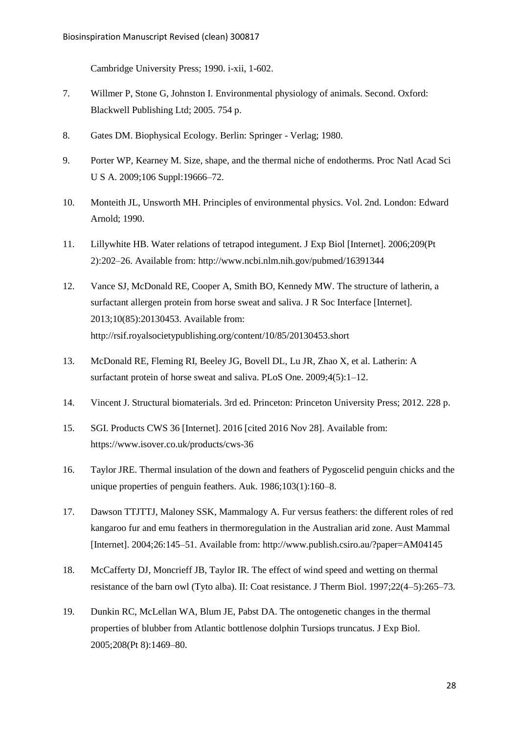Cambridge University Press; 1990. i-xii, 1-602.

- 7. Willmer P, Stone G, Johnston I. Environmental physiology of animals. Second. Oxford: Blackwell Publishing Ltd; 2005. 754 p.
- 8. Gates DM. Biophysical Ecology. Berlin: Springer Verlag; 1980.
- 9. Porter WP, Kearney M. Size, shape, and the thermal niche of endotherms. Proc Natl Acad Sci U S A. 2009;106 Suppl:19666-72.
- 10. Monteith JL, Unsworth MH. Principles of environmental physics. Vol. 2nd. London: Edward Arnold; 1990.
- 11. Lillywhite HB. Water relations of tetrapod integument. J Exp Biol [Internet]. 2006;209(Pt 2):202–26. Available from: http://www.ncbi.nlm.nih.gov/pubmed/16391344
- 12. Vance SJ, McDonald RE, Cooper A, Smith BO, Kennedy MW. The structure of latherin, a surfactant allergen protein from horse sweat and saliva. J R Soc Interface [Internet]. 2013;10(85):20130453. Available from: http://rsif.royalsocietypublishing.org/content/10/85/20130453.short
- 13. McDonald RE, Fleming RI, Beeley JG, Bovell DL, Lu JR, Zhao X, et al. Latherin: A surfactant protein of horse sweat and saliva. PLoS One. 2009;4(5):1–12.
- 14. Vincent J. Structural biomaterials. 3rd ed. Princeton: Princeton University Press; 2012. 228 p.
- 15. SGI. Products CWS 36 [Internet]. 2016 [cited 2016 Nov 28]. Available from: https://www.isover.co.uk/products/cws-36
- 16. Taylor JRE. Thermal insulation of the down and feathers of Pygoscelid penguin chicks and the unique properties of penguin feathers. Auk. 1986;103(1):160–8.
- 17. Dawson TTJTTJ, Maloney SSK, Mammalogy A. Fur versus feathers: the different roles of red kangaroo fur and emu feathers in thermoregulation in the Australian arid zone. Aust Mammal [Internet]. 2004;26:145–51. Available from: http://www.publish.csiro.au/?paper=AM04145
- 18. McCafferty DJ, Moncrieff JB, Taylor IR. The effect of wind speed and wetting on thermal resistance of the barn owl (Tyto alba). II: Coat resistance. J Therm Biol. 1997;22(4–5):265–73.
- 19. Dunkin RC, McLellan WA, Blum JE, Pabst DA. The ontogenetic changes in the thermal properties of blubber from Atlantic bottlenose dolphin Tursiops truncatus. J Exp Biol. 2005;208(Pt 8):1469–80.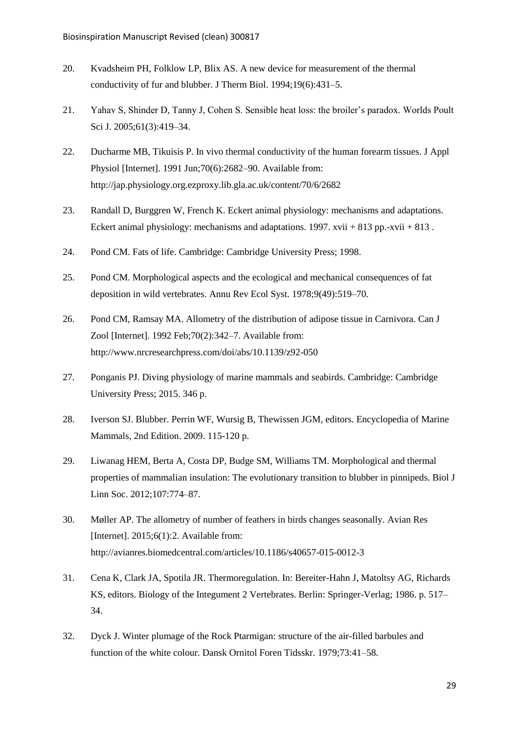- 20. Kvadsheim PH, Folklow LP, Blix AS. A new device for measurement of the thermal conductivity of fur and blubber. J Therm Biol. 1994;19(6):431–5.
- 21. Yahav S, Shinder D, Tanny J, Cohen S. Sensible heat loss: the broiler's paradox. Worlds Poult Sci J. 2005;61(3):419–34.
- 22. Ducharme MB, Tikuisis P. In vivo thermal conductivity of the human forearm tissues. J Appl Physiol [Internet]. 1991 Jun;70(6):2682–90. Available from: http://jap.physiology.org.ezproxy.lib.gla.ac.uk/content/70/6/2682
- 23. Randall D, Burggren W, French K. Eckert animal physiology: mechanisms and adaptations. Eckert animal physiology: mechanisms and adaptations. 1997. xvii + 813 pp.-xvii + 813.
- 24. Pond CM. Fats of life. Cambridge: Cambridge University Press; 1998.
- 25. Pond CM. Morphological aspects and the ecological and mechanical consequences of fat deposition in wild vertebrates. Annu Rev Ecol Syst. 1978;9(49):519–70.
- 26. Pond CM, Ramsay MA. Allometry of the distribution of adipose tissue in Carnivora. Can J Zool [Internet]. 1992 Feb;70(2):342–7. Available from: http://www.nrcresearchpress.com/doi/abs/10.1139/z92-050
- 27. Ponganis PJ. Diving physiology of marine mammals and seabirds. Cambridge: Cambridge University Press; 2015. 346 p.
- 28. Iverson SJ. Blubber. Perrin WF, Wursig B, Thewissen JGM, editors. Encyclopedia of Marine Mammals, 2nd Edition. 2009. 115-120 p.
- 29. Liwanag HEM, Berta A, Costa DP, Budge SM, Williams TM. Morphological and thermal properties of mammalian insulation: The evolutionary transition to blubber in pinnipeds. Biol J Linn Soc. 2012;107:774–87.
- 30. Møller AP. The allometry of number of feathers in birds changes seasonally. Avian Res [Internet]. 2015;6(1):2. Available from: http://avianres.biomedcentral.com/articles/10.1186/s40657-015-0012-3
- 31. Cena K, Clark JA, Spotila JR. Thermoregulation. In: Bereiter-Hahn J, Matoltsy AG, Richards KS, editors. Biology of the Integument 2 Vertebrates. Berlin: Springer-Verlag; 1986. p. 517– 34.
- 32. Dyck J. Winter plumage of the Rock Ptarmigan: structure of the air-filled barbules and function of the white colour. Dansk Ornitol Foren Tidsskr. 1979;73:41–58.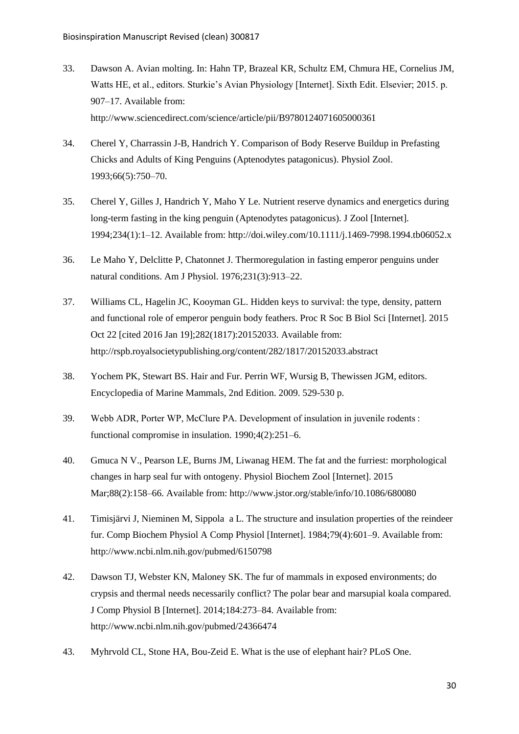- 33. Dawson A. Avian molting. In: Hahn TP, Brazeal KR, Schultz EM, Chmura HE, Cornelius JM, Watts HE, et al., editors. Sturkie's Avian Physiology [Internet]. Sixth Edit. Elsevier; 2015. p. 907–17. Available from: http://www.sciencedirect.com/science/article/pii/B9780124071605000361
- 34. Cherel Y, Charrassin J-B, Handrich Y. Comparison of Body Reserve Buildup in Prefasting Chicks and Adults of King Penguins (Aptenodytes patagonicus). Physiol Zool. 1993;66(5):750–70.
- 35. Cherel Y, Gilles J, Handrich Y, Maho Y Le. Nutrient reserve dynamics and energetics during long-term fasting in the king penguin (Aptenodytes patagonicus). J Zool [Internet]. 1994;234(1):1–12. Available from: http://doi.wiley.com/10.1111/j.1469-7998.1994.tb06052.x
- 36. Le Maho Y, Delclitte P, Chatonnet J. Thermoregulation in fasting emperor penguins under natural conditions. Am J Physiol. 1976;231(3):913–22.
- 37. Williams CL, Hagelin JC, Kooyman GL. Hidden keys to survival: the type, density, pattern and functional role of emperor penguin body feathers. Proc R Soc B Biol Sci [Internet]. 2015 Oct 22 [cited 2016 Jan 19];282(1817):20152033. Available from: http://rspb.royalsocietypublishing.org/content/282/1817/20152033.abstract
- 38. Yochem PK, Stewart BS. Hair and Fur. Perrin WF, Wursig B, Thewissen JGM, editors. Encyclopedia of Marine Mammals, 2nd Edition. 2009. 529-530 p.
- 39. Webb ADR, Porter WP, McClure PA. Development of insulation in juvenile rodents : functional compromise in insulation. 1990;4(2):251–6.
- 40. Gmuca N V., Pearson LE, Burns JM, Liwanag HEM. The fat and the furriest: morphological changes in harp seal fur with ontogeny. Physiol Biochem Zool [Internet]. 2015 Mar;88(2):158–66. Available from: http://www.jstor.org/stable/info/10.1086/680080
- 41. Timisjärvi J, Nieminen M, Sippola a L. The structure and insulation properties of the reindeer fur. Comp Biochem Physiol A Comp Physiol [Internet]. 1984;79(4):601–9. Available from: http://www.ncbi.nlm.nih.gov/pubmed/6150798
- 42. Dawson TJ, Webster KN, Maloney SK. The fur of mammals in exposed environments; do crypsis and thermal needs necessarily conflict? The polar bear and marsupial koala compared. J Comp Physiol B [Internet]. 2014;184:273–84. Available from: http://www.ncbi.nlm.nih.gov/pubmed/24366474
- 43. Myhrvold CL, Stone HA, Bou-Zeid E. What is the use of elephant hair? PLoS One.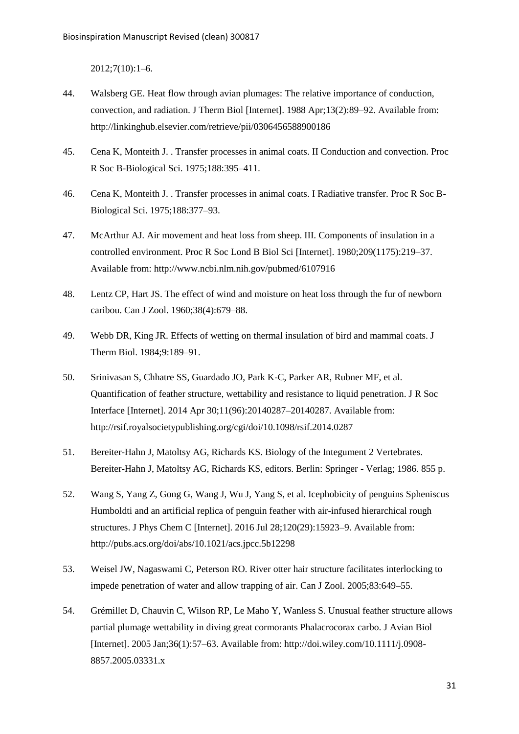2012;7(10):1–6.

- 44. Walsberg GE. Heat flow through avian plumages: The relative importance of conduction, convection, and radiation. J Therm Biol [Internet]. 1988 Apr;13(2):89–92. Available from: http://linkinghub.elsevier.com/retrieve/pii/0306456588900186
- 45. Cena K, Monteith J. . Transfer processes in animal coats. II Conduction and convection. Proc R Soc B-Biological Sci. 1975;188:395–411.
- 46. Cena K, Monteith J. . Transfer processes in animal coats. I Radiative transfer. Proc R Soc B-Biological Sci. 1975;188:377–93.
- 47. McArthur AJ. Air movement and heat loss from sheep. III. Components of insulation in a controlled environment. Proc R Soc Lond B Biol Sci [Internet]. 1980;209(1175):219–37. Available from: http://www.ncbi.nlm.nih.gov/pubmed/6107916
- 48. Lentz CP, Hart JS. The effect of wind and moisture on heat loss through the fur of newborn caribou. Can J Zool. 1960;38(4):679–88.
- 49. Webb DR, King JR. Effects of wetting on thermal insulation of bird and mammal coats. J Therm Biol. 1984;9:189–91.
- 50. Srinivasan S, Chhatre SS, Guardado JO, Park K-C, Parker AR, Rubner MF, et al. Quantification of feather structure, wettability and resistance to liquid penetration. J R Soc Interface [Internet]. 2014 Apr 30;11(96):20140287–20140287. Available from: http://rsif.royalsocietypublishing.org/cgi/doi/10.1098/rsif.2014.0287
- 51. Bereiter-Hahn J, Matoltsy AG, Richards KS. Biology of the Integument 2 Vertebrates. Bereiter-Hahn J, Matoltsy AG, Richards KS, editors. Berlin: Springer - Verlag; 1986. 855 p.
- 52. Wang S, Yang Z, Gong G, Wang J, Wu J, Yang S, et al. Icephobicity of penguins Spheniscus Humboldti and an artificial replica of penguin feather with air-infused hierarchical rough structures. J Phys Chem C [Internet]. 2016 Jul 28;120(29):15923–9. Available from: http://pubs.acs.org/doi/abs/10.1021/acs.jpcc.5b12298
- 53. Weisel JW, Nagaswami C, Peterson RO. River otter hair structure facilitates interlocking to impede penetration of water and allow trapping of air. Can J Zool. 2005;83:649–55.
- 54. Grémillet D, Chauvin C, Wilson RP, Le Maho Y, Wanless S. Unusual feather structure allows partial plumage wettability in diving great cormorants Phalacrocorax carbo. J Avian Biol [Internet]. 2005 Jan;36(1):57–63. Available from: http://doi.wiley.com/10.1111/j.0908- 8857.2005.03331.x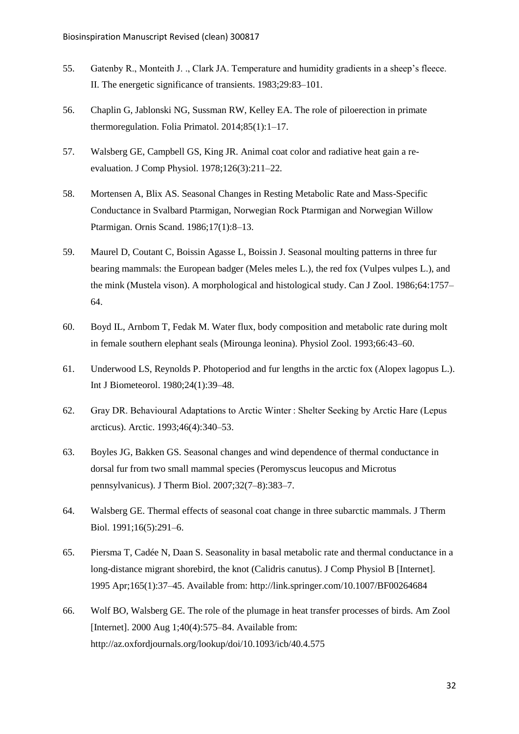- 55. Gatenby R., Monteith J. ., Clark JA. Temperature and humidity gradients in a sheep's fleece. II. The energetic significance of transients. 1983;29:83–101.
- 56. Chaplin G, Jablonski NG, Sussman RW, Kelley EA. The role of piloerection in primate thermoregulation. Folia Primatol. 2014;85(1):1–17.
- 57. Walsberg GE, Campbell GS, King JR. Animal coat color and radiative heat gain a reevaluation. J Comp Physiol. 1978;126(3):211–22.
- 58. Mortensen A, Blix AS. Seasonal Changes in Resting Metabolic Rate and Mass-Specific Conductance in Svalbard Ptarmigan, Norwegian Rock Ptarmigan and Norwegian Willow Ptarmigan. Ornis Scand. 1986;17(1):8–13.
- 59. Maurel D, Coutant C, Boissin Agasse L, Boissin J. Seasonal moulting patterns in three fur bearing mammals: the European badger (Meles meles L.), the red fox (Vulpes vulpes L.), and the mink (Mustela vison). A morphological and histological study. Can J Zool. 1986;64:1757– 64.
- 60. Boyd IL, Arnbom T, Fedak M. Water flux, body composition and metabolic rate during molt in female southern elephant seals (Mirounga leonina). Physiol Zool. 1993;66:43–60.
- 61. Underwood LS, Reynolds P. Photoperiod and fur lengths in the arctic fox (Alopex lagopus L.). Int J Biometeorol. 1980;24(1):39–48.
- 62. Gray DR. Behavioural Adaptations to Arctic Winter : Shelter Seeking by Arctic Hare (Lepus arcticus). Arctic. 1993;46(4):340–53.
- 63. Boyles JG, Bakken GS. Seasonal changes and wind dependence of thermal conductance in dorsal fur from two small mammal species (Peromyscus leucopus and Microtus pennsylvanicus). J Therm Biol. 2007;32(7–8):383–7.
- 64. Walsberg GE. Thermal effects of seasonal coat change in three subarctic mammals. J Therm Biol. 1991;16(5):291–6.
- 65. Piersma T, Cadée N, Daan S. Seasonality in basal metabolic rate and thermal conductance in a long-distance migrant shorebird, the knot (Calidris canutus). J Comp Physiol B [Internet]. 1995 Apr;165(1):37–45. Available from: http://link.springer.com/10.1007/BF00264684
- 66. Wolf BO, Walsberg GE. The role of the plumage in heat transfer processes of birds. Am Zool [Internet]. 2000 Aug 1;40(4):575–84. Available from: http://az.oxfordjournals.org/lookup/doi/10.1093/icb/40.4.575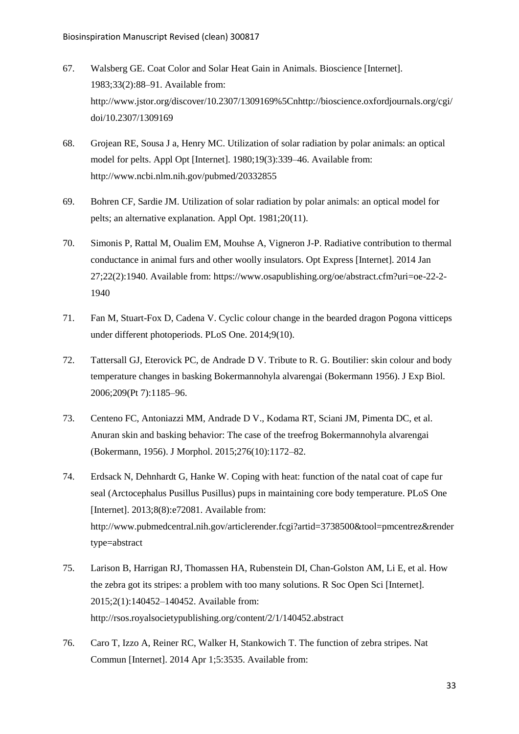- 67. Walsberg GE. Coat Color and Solar Heat Gain in Animals. Bioscience [Internet]. 1983;33(2):88–91. Available from: http://www.jstor.org/discover/10.2307/1309169%5Cnhttp://bioscience.oxfordjournals.org/cgi/ doi/10.2307/1309169
- 68. Grojean RE, Sousa J a, Henry MC. Utilization of solar radiation by polar animals: an optical model for pelts. Appl Opt [Internet]. 1980;19(3):339–46. Available from: http://www.ncbi.nlm.nih.gov/pubmed/20332855
- 69. Bohren CF, Sardie JM. Utilization of solar radiation by polar animals: an optical model for pelts; an alternative explanation. Appl Opt. 1981;20(11).
- 70. Simonis P, Rattal M, Oualim EM, Mouhse A, Vigneron J-P. Radiative contribution to thermal conductance in animal furs and other woolly insulators. Opt Express [Internet]. 2014 Jan 27;22(2):1940. Available from: https://www.osapublishing.org/oe/abstract.cfm?uri=oe-22-2- 1940
- 71. Fan M, Stuart-Fox D, Cadena V. Cyclic colour change in the bearded dragon Pogona vitticeps under different photoperiods. PLoS One. 2014;9(10).
- 72. Tattersall GJ, Eterovick PC, de Andrade D V. Tribute to R. G. Boutilier: skin colour and body temperature changes in basking Bokermannohyla alvarengai (Bokermann 1956). J Exp Biol. 2006;209(Pt 7):1185–96.
- 73. Centeno FC, Antoniazzi MM, Andrade D V., Kodama RT, Sciani JM, Pimenta DC, et al. Anuran skin and basking behavior: The case of the treefrog Bokermannohyla alvarengai (Bokermann, 1956). J Morphol. 2015;276(10):1172–82.
- 74. Erdsack N, Dehnhardt G, Hanke W. Coping with heat: function of the natal coat of cape fur seal (Arctocephalus Pusillus Pusillus) pups in maintaining core body temperature. PLoS One [Internet]. 2013;8(8):e72081. Available from: http://www.pubmedcentral.nih.gov/articlerender.fcgi?artid=3738500&tool=pmcentrez&render type=abstract
- 75. Larison B, Harrigan RJ, Thomassen HA, Rubenstein DI, Chan-Golston AM, Li E, et al. How the zebra got its stripes: a problem with too many solutions. R Soc Open Sci [Internet]. 2015;2(1):140452–140452. Available from: http://rsos.royalsocietypublishing.org/content/2/1/140452.abstract
- 76. Caro T, Izzo A, Reiner RC, Walker H, Stankowich T. The function of zebra stripes. Nat Commun [Internet]. 2014 Apr 1;5:3535. Available from: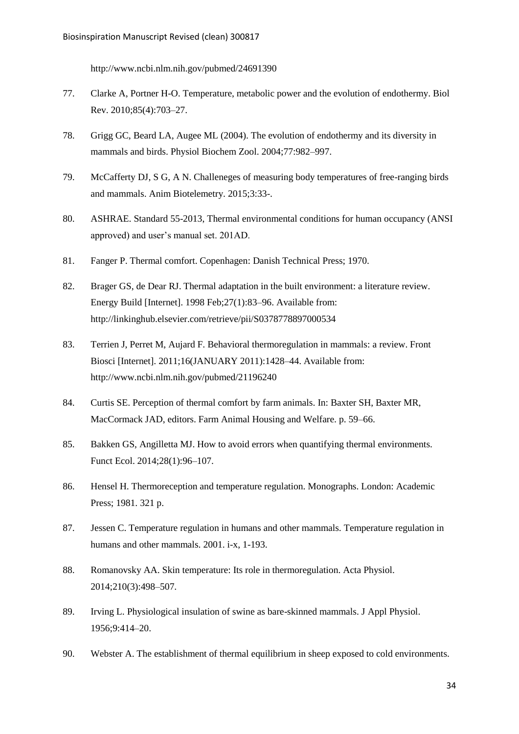http://www.ncbi.nlm.nih.gov/pubmed/24691390

- 77. Clarke A, Portner H-O. Temperature, metabolic power and the evolution of endothermy. Biol Rev. 2010;85(4):703–27.
- 78. Grigg GC, Beard LA, Augee ML (2004). The evolution of endothermy and its diversity in mammals and birds. Physiol Biochem Zool. 2004;77:982–997.
- 79. McCafferty DJ, S G, A N. Challeneges of measuring body temperatures of free-ranging birds and mammals. Anim Biotelemetry. 2015;3:33-.
- 80. ASHRAE. Standard 55-2013, Thermal environmental conditions for human occupancy (ANSI approved) and user's manual set. 201AD.
- 81. Fanger P. Thermal comfort. Copenhagen: Danish Technical Press; 1970.
- 82. Brager GS, de Dear RJ. Thermal adaptation in the built environment: a literature review. Energy Build [Internet]. 1998 Feb;27(1):83–96. Available from: http://linkinghub.elsevier.com/retrieve/pii/S0378778897000534
- 83. Terrien J, Perret M, Aujard F. Behavioral thermoregulation in mammals: a review. Front Biosci [Internet]. 2011;16(JANUARY 2011):1428–44. Available from: http://www.ncbi.nlm.nih.gov/pubmed/21196240
- 84. Curtis SE. Perception of thermal comfort by farm animals. In: Baxter SH, Baxter MR, MacCormack JAD, editors. Farm Animal Housing and Welfare. p. 59–66.
- 85. Bakken GS, Angilletta MJ. How to avoid errors when quantifying thermal environments. Funct Ecol. 2014;28(1):96–107.
- 86. Hensel H. Thermoreception and temperature regulation. Monographs. London: Academic Press; 1981. 321 p.
- 87. Jessen C. Temperature regulation in humans and other mammals. Temperature regulation in humans and other mammals. 2001. i-x, 1-193.
- 88. Romanovsky AA. Skin temperature: Its role in thermoregulation. Acta Physiol. 2014;210(3):498–507.
- 89. Irving L. Physiological insulation of swine as bare-skinned mammals. J Appl Physiol. 1956;9:414–20.
- 90. Webster A. The establishment of thermal equilibrium in sheep exposed to cold environments.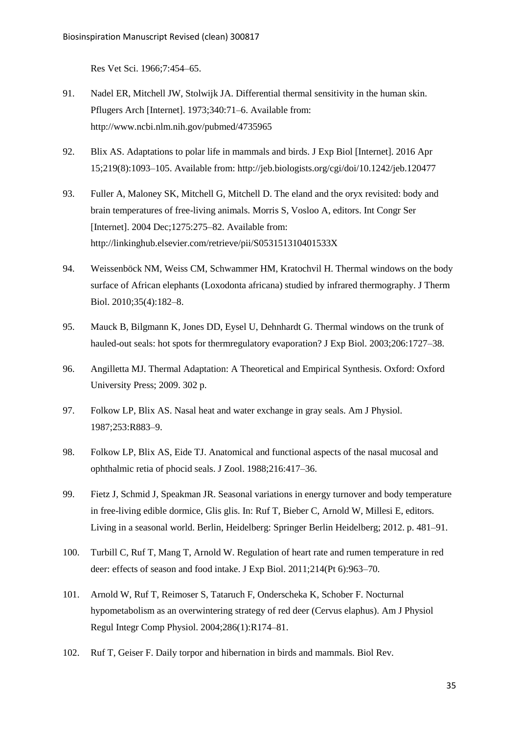Res Vet Sci. 1966;7:454–65.

- 91. Nadel ER, Mitchell JW, Stolwijk JA. Differential thermal sensitivity in the human skin. Pflugers Arch [Internet]. 1973;340:71–6. Available from: http://www.ncbi.nlm.nih.gov/pubmed/4735965
- 92. Blix AS. Adaptations to polar life in mammals and birds. J Exp Biol [Internet]. 2016 Apr 15;219(8):1093–105. Available from: http://jeb.biologists.org/cgi/doi/10.1242/jeb.120477
- 93. Fuller A, Maloney SK, Mitchell G, Mitchell D. The eland and the oryx revisited: body and brain temperatures of free-living animals. Morris S, Vosloo A, editors. Int Congr Ser [Internet]. 2004 Dec;1275:275–82. Available from: http://linkinghub.elsevier.com/retrieve/pii/S053151310401533X
- 94. Weissenböck NM, Weiss CM, Schwammer HM, Kratochvil H. Thermal windows on the body surface of African elephants (Loxodonta africana) studied by infrared thermography. J Therm Biol. 2010;35(4):182–8.
- 95. Mauck B, Bilgmann K, Jones DD, Eysel U, Dehnhardt G. Thermal windows on the trunk of hauled-out seals: hot spots for thermregulatory evaporation? J Exp Biol. 2003;206:1727–38.
- 96. Angilletta MJ. Thermal Adaptation: A Theoretical and Empirical Synthesis. Oxford: Oxford University Press; 2009. 302 p.
- 97. Folkow LP, Blix AS. Nasal heat and water exchange in gray seals. Am J Physiol. 1987;253:R883–9.
- 98. Folkow LP, Blix AS, Eide TJ. Anatomical and functional aspects of the nasal mucosal and ophthalmic retia of phocid seals. J Zool. 1988;216:417–36.
- 99. Fietz J, Schmid J, Speakman JR. Seasonal variations in energy turnover and body temperature in free-living edible dormice, Glis glis. In: Ruf T, Bieber C, Arnold W, Millesi E, editors. Living in a seasonal world. Berlin, Heidelberg: Springer Berlin Heidelberg; 2012. p. 481–91.
- 100. Turbill C, Ruf T, Mang T, Arnold W. Regulation of heart rate and rumen temperature in red deer: effects of season and food intake. J Exp Biol. 2011;214(Pt 6):963–70.
- 101. Arnold W, Ruf T, Reimoser S, Tataruch F, Onderscheka K, Schober F. Nocturnal hypometabolism as an overwintering strategy of red deer (Cervus elaphus). Am J Physiol Regul Integr Comp Physiol. 2004;286(1):R174–81.
- 102. Ruf T, Geiser F. Daily torpor and hibernation in birds and mammals. Biol Rev.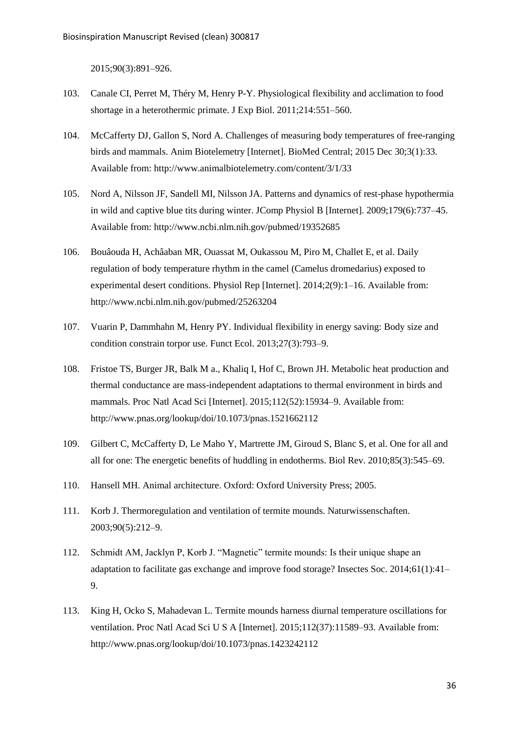2015;90(3):891–926.

- 103. Canale CI, Perret M, Théry M, Henry P-Y. Physiological flexibility and acclimation to food shortage in a heterothermic primate. J Exp Biol. 2011;214:551–560.
- 104. McCafferty DJ, Gallon S, Nord A. Challenges of measuring body temperatures of free-ranging birds and mammals. Anim Biotelemetry [Internet]. BioMed Central; 2015 Dec 30;3(1):33. Available from: http://www.animalbiotelemetry.com/content/3/1/33
- 105. Nord A, Nilsson JF, Sandell MI, Nilsson JA. Patterns and dynamics of rest-phase hypothermia in wild and captive blue tits during winter. JComp Physiol B [Internet]. 2009;179(6):737–45. Available from: http://www.ncbi.nlm.nih.gov/pubmed/19352685
- 106. Bouâouda H, Achâaban MR, Ouassat M, Oukassou M, Piro M, Challet E, et al. Daily regulation of body temperature rhythm in the camel (Camelus dromedarius) exposed to experimental desert conditions. Physiol Rep [Internet]. 2014;2(9):1–16. Available from: http://www.ncbi.nlm.nih.gov/pubmed/25263204
- 107. Vuarin P, Dammhahn M, Henry PY. Individual flexibility in energy saving: Body size and condition constrain torpor use. Funct Ecol. 2013;27(3):793–9.
- 108. Fristoe TS, Burger JR, Balk M a., Khaliq I, Hof C, Brown JH. Metabolic heat production and thermal conductance are mass-independent adaptations to thermal environment in birds and mammals. Proc Natl Acad Sci [Internet]. 2015;112(52):15934–9. Available from: http://www.pnas.org/lookup/doi/10.1073/pnas.1521662112
- 109. Gilbert C, McCafferty D, Le Maho Y, Martrette JM, Giroud S, Blanc S, et al. One for all and all for one: The energetic benefits of huddling in endotherms. Biol Rev. 2010;85(3):545–69.
- 110. Hansell MH. Animal architecture. Oxford: Oxford University Press; 2005.
- 111. Korb J. Thermoregulation and ventilation of termite mounds. Naturwissenschaften. 2003;90(5):212–9.
- 112. Schmidt AM, Jacklyn P, Korb J. "Magnetic" termite mounds: Is their unique shape an adaptation to facilitate gas exchange and improve food storage? Insectes Soc. 2014;61(1):41– 9.
- 113. King H, Ocko S, Mahadevan L. Termite mounds harness diurnal temperature oscillations for ventilation. Proc Natl Acad Sci U S A [Internet]. 2015;112(37):11589–93. Available from: http://www.pnas.org/lookup/doi/10.1073/pnas.1423242112